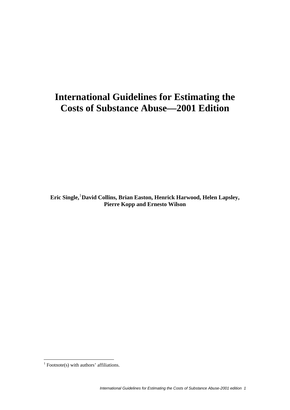# **International Guidelines for Estimating the Costs of Substance Abuse—2001 Edition**

**Eric Single,**[1](#page-0-0) **David Collins, Brian Easton, Henrick Harwood, Helen Lapsley, Pierre Kopp and Ernesto Wilson** 

<u>.</u>

<span id="page-0-0"></span> $<sup>1</sup>$  Footnote(s) with authors' affiliations.</sup>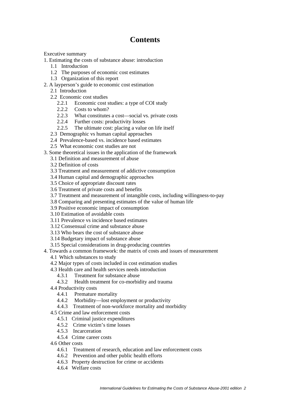# **Contents**

Executive summary

- 1. Estimating the costs of substance abuse: introduction
	- 1.1 Introduction
	- 1.2 The purposes of economic cost estimates
	- 1.3 Organization of this report
- 2. A layperson's guide to economic cost estimation
	- 2.1 Introduction
	- 2.2 Economic cost studies
		- 2.2.1 Economic cost studies: a type of COI study
		- 2.2.2 Costs to whom?
		- 2.2.3 What constitutes a cost—social vs. private costs
		- 2.2.4 Further costs: productivity losses
		- 2.2.5 The ultimate cost: placing a value on life itself
	- 2.3 Demographic vs human capital approaches
	- 2.4 Prevalence-based vs. incidence based estimates

2.5 What economic cost studies are not

- 3. Some theoretical issues in the application of the framework
	- 3.1 Definition and measurement of abuse
	- 3.2 Definition of costs
	- 3.3 Treatment and measurement of addictive consumption
	- 3.4 Human capital and demographic approaches
	- 3.5 Choice of appropriate discount rates
	- 3.6 Treatment of private costs and benefits
	- 3.7 Treatment and measurement of intangible costs, including willingness-to-pay
	- 3.8 Comparing and presenting estimates of the value of human life
	- 3.9 Positive economic impact of consumption
	- 3.10 Estimation of avoidable costs
	- 3.11 Prevalence vs incidence based estimates
	- 3.12 Consensual crime and substance abuse
	- 3.13 Who bears the cost of substance abuse
	- 3.14 Budgetary impact of substance abuse
	- 3.15 Special considerations in drug-producing countries
- 4. Towards a common framework: the matrix of costs and issues of measurement
	- 4.1 Which substances to study
	- 4.2 Major types of costs included in cost estimation studies
	- 4.3 Health care and health services needs introduction
		- 4.3.1 Treatment for substance abuse
		- 4.3.2 Health treatment for co-morbidity and trauma
	- 4.4 Productivity costs
		- 4.4.1 Premature mortality
		- 4.4.2 Morbidity—lost employment or productivity
		- 4.4.3 Treatment of non-workforce mortality and morbidity
	- 4.5 Crime and law enforcement costs
		- 4.5.1 Criminal justice expenditures
		- 4.5.2 Crime victim's time losses
		- 4.5.3 Incarceration
		- 4.5.4 Crime career costs
	- 4.6 Other costs
		- 4.6.1 Treatment of research, education and law enforcement costs
		- 4.6.2 Prevention and other public health efforts
		- 4.6.3 Property destruction for crime or accidents
		- 4.6.4 Welfare costs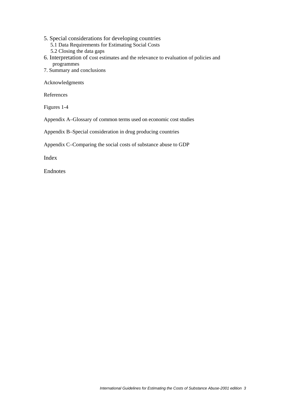- 5. Special considerations for developing countries 5.1 Data Requirements for Estimating Social Costs 5.2 Closing the data gaps
- 6. Interpretation of cost estimates and the relevance to evaluation of policies and programmes
- 7. Summary and conclusions

Acknowledgments

References

Figures 1-4

Appendix A–Glossary of common terms used on economic cost studies

Appendix B–Special consideration in drug producing countries

Appendix C–Comparing the social costs of substance abuse to GDP

Index

Endnotes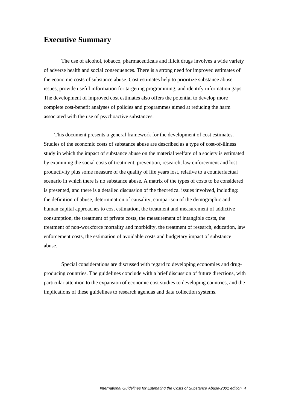### **Executive Summary**

 The use of alcohol, tobacco, pharmaceuticals and illicit drugs involves a wide variety of adverse health and social consequences. There is a strong need for improved estimates of the economic costs of substance abuse. Cost estimates help to prioritize substance abuse issues, provide useful information for targeting programming, and identify information gaps. The development of improved cost estimates also offers the potential to develop more complete cost-benefit analyses of policies and programmes aimed at reducing the harm associated with the use of psychoactive substances.

 This document presents a general framework for the development of cost estimates. Studies of the economic costs of substance abuse are described as a type of cost-of-illness study in which the impact of substance abuse on the material welfare of a society is estimated by examining the social costs of treatment, prevention, research, law enforcement and lost productivity plus some measure of the quality of life years lost, relative to a counterfactual scenario in which there is no substance abuse. A matrix of the types of costs to be considered is presented, and there is a detailed discussion of the theoretical issues involved, including: the definition of abuse, determination of causality, comparison of the demographic and human capital approaches to cost estimation, the treatment and measurement of addictive consumption, the treatment of private costs, the measurement of intangible costs, the treatment of non-workforce mortality and morbidity, the treatment of research, education, law enforcement costs, the estimation of avoidable costs and budgetary impact of substance abuse.

 Special considerations are discussed with regard to developing economies and drugproducing countries. The guidelines conclude with a brief discussion of future directions, with particular attention to the expansion of economic cost studies to developing countries, and the implications of these guidelines to research agendas and data collection systems.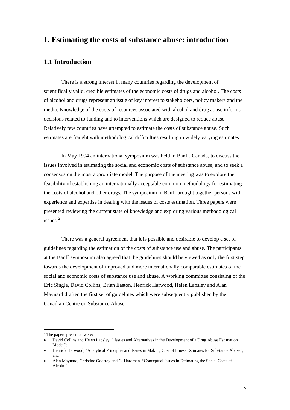### <span id="page-4-0"></span>**1. Estimating the costs of substance abuse: introduction**

### **1.1 Introduction**

 There is a strong interest in many countries regarding the development of scientifically valid, credible estimates of the economic costs of drugs and alcohol. The costs of alcohol and drugs represent an issue of key interest to stakeholders, policy makers and the media. Knowledge of the costs of resources associated with alcohol and drug abuse informs decisions related to funding and to interventions which are designed to reduce abuse. Relatively few countries have attempted to estimate the costs of substance abuse. Such estimates are fraught with methodological difficulties resulting in widely varying estimates.

 In May 1994 an international symposium was held in Banff, Canada, to discuss the issues involved in estimating the social and economic costs of substance abuse, and to seek a consensus on the most appropriate model. The purpose of the meeting was to explore the feasibility of establishing an internationally acceptable common methodology for estimating the costs of alcohol and other drugs. The symposium in Banff brought together persons with experience and expertise in dealing with the issues of costs estimation. Three papers were presented reviewing the current state of knowledge and exploring various methodological issues $^2$  $^2$ 

 There was a general agreement that it is possible and desirable to develop a set of guidelines regarding the estimation of the costs of substance use and abuse. The participants at the Banff symposium also agreed that the guidelines should be viewed as only the first step towards the development of improved and more internationally comparable estimates of the social and economic costs of substance use and abuse. A working committee consisting of the Eric Single, David Collins, Brian Easton, Henrick Harwood, Helen Lapsley and Alan Maynard drafted the first set of guidelines which were subsequently published by the Canadian Centre on Substance Abuse.

1

 $2$  The papers presented were:

<sup>•</sup> David Collins and Helen Lapsley, " Issues and Alternatives in the Development of a Drug Abuse Estimation Model";

<sup>•</sup> Henrick Harwood, "Analytical Principles and Issues in Making Cost of Illness Estimates for Substance Abuse"; and

<sup>•</sup> Alan Maynard, Christine Godfrey and G. Hardman, "Conceptual Issues in Estimating the Social Costs of Alcohol".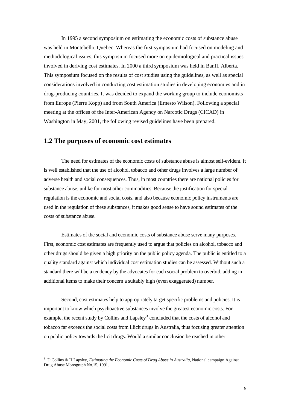<span id="page-5-0"></span> In 1995 a second symposium on estimating the economic costs of substance abuse was held in Montebello, Quebec. Whereas the first symposium had focused on modeling and methodological issues, this symposium focused more on epidemiological and practical issues involved in deriving cost estimates. In 2000 a third symposium was held in Banff, Alberta. This symposium focused on the results of cost studies using the guidelines, as well as special considerations involved in conducting cost estimation studies in developing economies and in drug-producing countries. It was decided to expand the working group to include economists from Europe (Pierre Kopp) and from South America (Ernesto Wilson). Following a special meeting at the offices of the Inter-American Agency on Narcotic Drugs (CICAD) in Washington in May, 2001, the following revised guidelines have been prepared.

#### **1.2 The purposes of economic cost estimates**

 The need for estimates of the economic costs of substance abuse is almost self-evident. It is well established that the use of alcohol, tobacco and other drugs involves a large number of adverse health and social consequences. Thus, in most countries there are national policies for substance abuse, unlike for most other commodities. Because the justification for special regulation is the economic and social costs, and also because economic policy instruments are used in the regulation of these substances, it makes good sense to have sound estimates of the costs of substance abuse.

 Estimates of the social and economic costs of substance abuse serve many purposes. First, economic cost estimates are frequently used to argue that policies on alcohol, tobacco and other drugs should be given a high priority on the public policy agenda. The public is entitled to a quality standard against which individual cost estimation studies can be assessed. Without such a standard there will be a tendency by the advocates for each social problem to overbid, adding in additional items to make their concern a suitably high (even exaggerated) number.

 Second, cost estimates help to appropriately target specific problems and policies. It is important to know which psychoactive substances involve the greatest economic costs. For example, the recent study by Collins and Lapsley<sup>[3](#page-5-0)</sup> concluded that the costs of alcohol and tobacco far exceeds the social costs from illicit drugs in Australia, thus focusing greater attention on public policy towards the licit drugs. Would a similar conclusion be reached in other

1

<sup>3</sup> D.Collins & H.Lapsley, *Estimating the Economic Costs of Drug Abuse in Australia*, National campaign Against Drug Abuse Monograph No.15, 1991.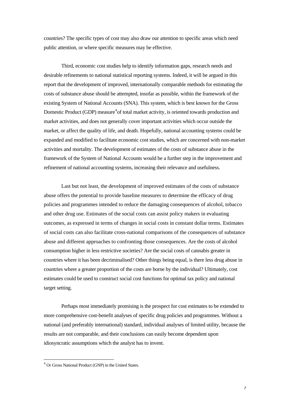<span id="page-6-0"></span>countries? The specific types of cost may also draw our attention to specific areas which need public attention, or where specific measures may be effective.

 Third, economic cost studies help to identify information gaps, research needs and desirable refinements to national statistical reporting systems. Indeed, it will be argued in this report that the development of improved, internationally comparable methods for estimating the costs of substance abuse should be attempted, insofar as possible, within the framework of the existing System of National Accounts (SNA). This system, which is best known for the Gross Domestic Product (GDP) measure<sup>[4](#page-6-0)</sup> of total market activity, is oriented towards production and market activities, and does not generally cover important activities which occur outside the market, or affect the quality of life, and death. Hopefully, national accounting systems could be expanded and modified to facilitate economic cost studies, which are concerned with non-market activities and mortality. The development of estimates of the costs of substance abuse in the framework of the System of National Accounts would be a further step in the improvement and refinement of national accounting systems, increasing their relevance and usefulness.

 Last but not least, the development of improved estimates of the costs of substance abuse offers the potential to provide baseline measures to determine the efficacy of drug policies and programmes intended to reduce the damaging consequences of alcohol, tobacco and other drug use. Estimates of the social costs can assist policy makers in evaluating outcomes, as expressed in terms of changes in social costs in constant dollar terms. Estimates of social costs can also facilitate cross-national comparisons of the consequences of substance abuse and different approaches to confronting those consequences. Are the costs of alcohol consumption higher in less restrictive societies? Are the social costs of cannabis greater in countries where it has been decriminalised? Other things being equal, is there less drug abuse in countries where a greater proportion of the costs are borne by the individual? Ultimately, cost estimates could be used to construct social cost functions for optimal tax policy and national target setting.

 Perhaps most immediately promising is the prospect for cost estimates to be extended to more comprehensive cost-benefit analyses of specific drug policies and programmes. Without a national (and preferably international) standard, individual analyses of limited utility, because the results are not comparable, and their conclusions can easily become dependent upon idiosyncratic assumptions which the analyst has to invent.

<u>.</u>

<sup>4</sup> Or Gross National Product (GNP) in the United States.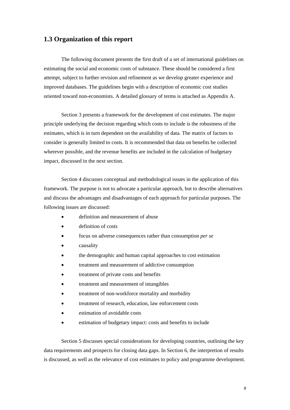#### **1.3 Organization of this report**

 The following document presents the first draft of a set of international guidelines on estimating the social and economic costs of substance. These should be considered a first attempt, subject to further revision and refinement as we develop greater experience and improved databases. The guidelines begin with a description of economic cost studies oriented toward non-economists. A detailed glossary of terms is attached as Appendix A.

 Section 3 presents a framework for the development of cost estimates. The major principle underlying the decision regarding which costs to include is the robustness of the estimates, which is in turn dependent on the availability of data. The matrix of factors to consider is generally limited to costs. It is recommended that data on benefits be collected wherever possible, and the revenue benefits are included in the calculation of budgetary impact, discussed in the next section.

 Section 4 discusses conceptual and methodological issues in the application of this framework. The purpose is not to advocate a particular approach, but to describe alternatives and discuss the advantages and disadvantages of each approach for particular purposes. The following issues are discussed:

- definition and measurement of abuse
- definition of costs
- focus on adverse consequences rather than consumption *per se*
- causality
- the demographic and human capital approaches to cost estimation
- treatment and measurement of addictive consumption
- treatment of private costs and benefits
- treatment and measurement of intangibles
- treatment of non-workforce mortality and morbidity
- treatment of research, education, law enforcement costs
- estimation of avoidable costs
- estimation of budgetary impact: costs and benefits to include

 Section 5 discusses special considerations for developing countries, outlining the key data requirements and prospects for closing data gaps. In Section 6, the interpretion of results is discussed, as well as the relevance of cost estimates to policy and programme development.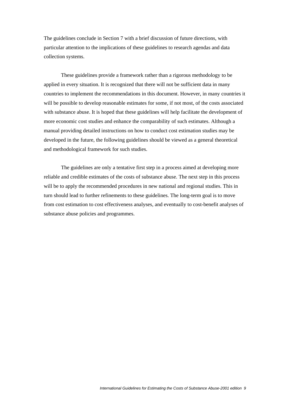The guidelines conclude in Section 7 with a brief discussion of future directions, with particular attention to the implications of these guidelines to research agendas and data collection systems.

 These guidelines provide a framework rather than a rigorous methodology to be applied in every situation. It is recognized that there will not be sufficient data in many countries to implement the recommendations in this document. However, in many countries it will be possible to develop reasonable estimates for some, if not most, of the costs associated with substance abuse. It is hoped that these guidelines will help facilitate the development of more economic cost studies and enhance the comparability of such estimates. Although a manual providing detailed instructions on how to conduct cost estimation studies may be developed in the future, the following guidelines should be viewed as a general theoretical and methodological framework for such studies.

 The guidelines are only a tentative first step in a process aimed at developing more reliable and credible estimates of the costs of substance abuse. The next step in this process will be to apply the recommended procedures in new national and regional studies. This in turn should lead to further refinements to these guidelines. The long-term goal is to move from cost estimation to cost effectiveness analyses, and eventually to cost-benefit analyses of substance abuse policies and programmes.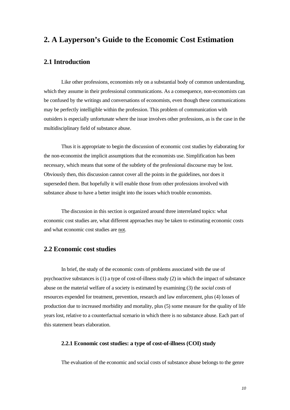### **2. A Layperson's Guide to the Economic Cost Estimation**

### **2.1 Introduction**

 Like other professions, economists rely on a substantial body of common understanding, which they assume in their professional communications. As a consequence, non-economists can be confused by the writings and conversations of economists, even though these communications may be perfectly intelligible within the profession. This problem of communication with outsiders is especially unfortunate where the issue involves other professions, as is the case in the multidisciplinary field of substance abuse.

 Thus it is appropriate to begin the discussion of economic cost studies by elaborating for the non-economist the implicit assumptions that the economists use. Simplification has been necessary, which means that some of the subtlety of the professional discourse may be lost. Obviously then, this discussion cannot cover all the points in the guidelines, nor does it superseded them. But hopefully it will enable those from other professions involved with substance abuse to have a better insight into the issues which trouble economists.

 The discussion in this section is organized around three interrelated topics: what economic cost studies are, what different approaches may be taken to estimating economic costs and what economic cost studies are not.

### **2.2 Economic cost studies**

 In brief, the study of the economic costs of problems associated with the use of psychoactive substances is (1) a type of cost-of-illness study (2) in which the impact of substance abuse on the material welfare of a society is estimated by examining (3) the *social costs* of resources expended for treatment, prevention, research and law enforcement, plus (4) losses of production due to increased morbidity and mortality, plus (5) some measure for the quality of life years lost, relative to a counterfactual scenario in which there is no substance abuse. Each part of this statement bears elaboration.

#### **2.2.1 Economic cost studies: a type of cost-of-illness (COI) study**

The evaluation of the economic and social costs of substance abuse belongs to the genre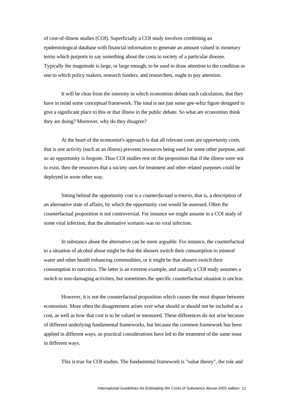of cost-of-illness studies (COI). Superficially a COI study involves combining an epidemiological database with financial information to generate an amount valued in monetary terms which purports to say something about the costs to society of a particular disease. Typically the magnitude is large, or large enough, to be used to draw attention to the condition as one to which policy makers, research funders, and researchers, ought to pay attention.

 It will be clear from the intensity in which economists debate each calculation, that they have in mind some conceptual framework. The total is not just some gee-whiz figure designed to give a significant place to this or that illness in the public debate. So what are economists think they are doing? Moreover, why do they disagree?

 At the heart of the economist's approach is that all relevant costs are *opportunity costs*, that is one activity (such as an illness) prevents resources being used for some other purpose, and so an opportunity is forgone. Thus COI studies rest on the proposition that if the illness were not to exist, then the resources that a society uses for treatment and other related purposes could be deployed in some other way.

 Sitting behind the opportunity cost is a *counterfactual scenario*, that is, a description of an alternative state of affairs, by which the opportunity cost would be assessed. Often the counterfactual proposition is not controversial. For instance we might assume in a COI study of some viral infection, that the alternative scenario was no viral infection.

 In substance abuse the alternative can be more arguable. For instance, the counterfactual to a situation of alcohol abuse might be that the abusers switch their consumption to mineral water and other health enhancing commodities, or it might be that abusers switch their consumption to narcotics. The latter is an extreme example, and usually a COI study assumes a switch to non-damaging activities, but sometimes the specific counterfactual situation is unclear.

 However, it is not the counterfactual proposition which causes the most dispute between economists. More often the disagreement arises over what should or should not be included as a cost, as well as how that cost is to be valued or measured. These differences do not arise because of different underlying fundamental frameworks, but because the common framework has been applied in different ways, so practical considerations have led to the treatment of the same issue in different ways.

This is true for COI studies. The fundamental framework is "value theory", the role and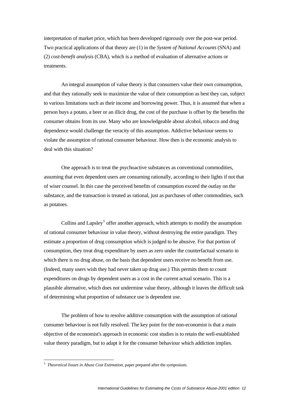<span id="page-11-0"></span>interpretation of market price, which has been developed rigorously over the post-war period. Two practical applications of that theory are (1) in the *System of National Accounts* (SNA) and (2) *cost-benefit analysis* (CBA), which is a method of evaluation of alternative actions or treatments.

 An integral assumption of value theory is that consumers value their own consumption, and that they rationally seek to maximize the value of their consumption as best they can, subject to various limitations such as their income and borrowing power. Thus, it is assumed that when a person buys a potato, a beer or an illicit drug, the cost of the purchase is offset by the benefits the consumer obtains from its use. Many who are knowledgeable about alcohol, tobacco and drug dependence would challenge the veracity of this assumption. Addictive behaviour seems to violate the assumption of rational consumer behaviour. How then is the economic analysis to deal with this situation?

 One approach is to treat the psychoactive substances as conventional commodities, assuming that even dependent users are consuming rationally, according to their lights if not that of wiser counsel. In this case the perceived benefits of consumption exceed the outlay on the substance, and the transaction is treated as rational, just as purchases of other commodities, such as potatoes.

Collins and Lapsley<sup>[5](#page-11-0)</sup> offer another approach, which attempts to modify the assumption of rational consumer behaviour in value theory, without destroying the entire paradigm. They estimate a proportion of drug consumption which is judged to be abusive. For that portion of consumption, they treat drug expenditure by users as zero under the counterfactual scenario in which there is no drug abuse, on the basis that dependent users receive no benefit from use. (Indeed, many users wish they had never taken up drug use.) This permits them to count expenditures on drugs by dependent users as a cost in the current actual scenario. This is a plausible alternative, which does not undermine value theory, although it leaves the difficult task of determining what proportion of substance use is dependent use.

 The problem of how to resolve additive consumption with the assumption of rational consumer behaviour is not fully resolved. The key point for the non-economist is that a main objective of the economist's approach in economic cost studies is to retain the well-established value theory paradigm, but to adapt it for the consumer behaviour which addiction implies.

1

<sup>5</sup> *Theoretical Issues in Abuse Cost Estimation*, paper prepared after the symposium.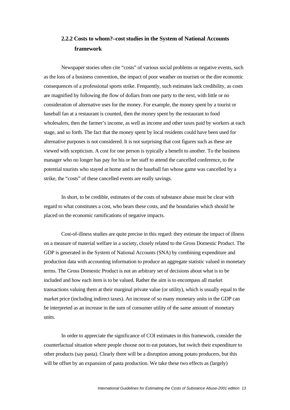## **2.2.2 Costs to whom?–cost studies in the System of National Accounts framework**

 Newspaper stories often cite "costs" of various social problems or negative events, such as the loss of a business convention, the impact of poor weather on tourism or the dire economic consequences of a professional sports strike. Frequently, such estimates lack credibility, as costs are magnified by following the flow of dollars from one party to the next, with little or no consideration of alternative uses for the money. For example, the money spent by a tourist or baseball fan at a restaurant is counted, then the money spent by the restaurant to food wholesalers, then the farmer's income, as well as income and other taxes paid by workers at each stage, and so forth. The fact that the money spent by local residents could have been used for alternative purposes is not considered. It is not surprising that cost figures such as these are viewed with scepticism. A cost for one person is typically a benefit to another. To the business manager who no longer has pay for his or her staff to attend the cancelled conference, to the potential tourists who stayed at home and to the baseball fan whose game was cancelled by a strike, the "costs" of these cancelled events are really savings.

 In short, to be credible, estimates of the costs of substance abuse must be clear with regard to what constitutes a cost, who bears these costs, and the boundaries which should be placed on the economic ramifications of negative impacts.

 Cost-of-illness studies are quite precise in this regard: they estimate the impact of illness on a measure of material welfare in a society, closely related to the Gross Domestic Product. The GDP is generated in the System of National Accounts (SNA) by combining expenditure and production data with accounting information to produce an aggregate statistic valued in monetary terms. The Gross Domestic Product is not an arbitrary set of decisions about what is to be included and how each item is to be valued. Rather the aim is to encompass all market transactions valuing them at their marginal private value (or utility), which is usually equal to the market price (including indirect taxes). An increase of so many monetary units in the GDP can be interpreted as an increase in the sum of consumer utility of the same amount of monetary units.

 In order to appreciate the significance of COI estimates in this framework, consider the counterfactual situation where people choose not to eat potatoes, but switch their expenditure to other products (say pasta). Clearly there will be a disruption among potato producers, but this will be offset by an expansion of pasta production. We take these two effects as (largely)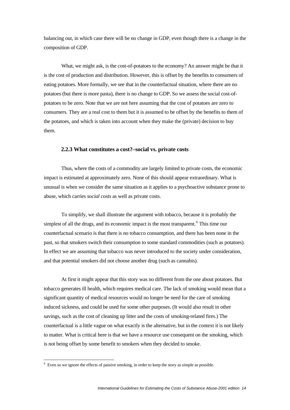<span id="page-13-0"></span>balancing out, in which case there will be no change in GDP, even though there is a change in the composition of GDP.

 What, we might ask, is the cost-of-potatoes to the economy? An answer might be that it is the cost of production and distribution. However, this is offset by the benefits to consumers of eating potatoes. More formally, we see that in the counterfactual situation, where there are no potatoes (but there is more pasta), there is no change to GDP. So we assess the social cost-ofpotatoes to be zero. Note that we are not here assuming that the cost of potatoes are zero to consumers. They are a real cost to them but it is assumed to be offset by the benefits to them of the potatoes, and which is taken into account when they make the (private) decision to buy them.

#### **2.2.3 What constitutes a cost?–social vs. private costs**

 Thus, where the costs of a commodity are largely limited to private costs, the economic impact is estimated at approximately zero. None of this should appear extraordinary. What is unusual is when we consider the same situation as it applies to a psychoactive substance prone to abuse, which carries *social costs* as well as private costs.

 To simplify, we shall illustrate the argument with tobacco, because it is probably the simplest of all the drugs, and its economic impact is the most transparent.<sup>[6](#page-13-0)</sup> This time our counterfactual scenario is that there is no tobacco consumption, and there has been none in the past, so that smokers switch their consumption to some standard commodities (such as potatoes). In effect we are assuming that tobacco was never introduced to the society under consideration, and that potential smokers did not choose another drug (such as cannabis).

 At first it might appear that this story was no different from the one about potatoes. But tobacco generates ill health, which requires medical care. The lack of smoking would mean that a significant quantity of medical resources would no longer be need for the care of smoking induced sickness, and could be used for some other purposes. (It would also result in other savings, such as the cost of cleaning up litter and the costs of smoking-related fires.) The counterfactual is a little vague on what exactly is the alternative, but in the context it is not likely to matter. What is critical here is that we have a resource use consequent on the smoking, which is not being offset by some benefit to smokers when they decided to smoke.

1

 $6$  Even so we ignore the effects of passive smoking, in order to keep the story as simple as possible.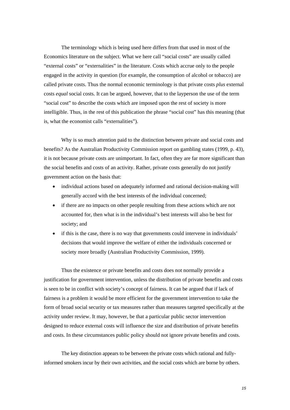The terminology which is being used here differs from that used in most of the Economics literature on the subject. What we here call "social costs" are usually called "external costs" or "externalities" in the literature. Costs which accrue only to the people engaged in the activity in question (for example, the consumption of alcohol or tobacco) are called private costs. Thus the normal economic terminology is that private costs *plus* external costs *equal* social costs. It can be argued, however, that to the layperson the use of the term "social cost" to describe the costs which are imposed upon the rest of society is more intelligible. Thus, in the rest of this publication the phrase "social cost" has this meaning (that is, what the economist calls "externalities").

Why is so much attention paid to the distinction between private and social costs and benefits? As the Australian Productivity Commission report on gambling states (1999, p. 43), it is not because private costs are unimportant. In fact, often they are far more significant than the social benefits and costs of an activity. Rather, private costs generally do not justify government action on the basis that:

- individual actions based on adequately informed and rational decision-making will generally accord with the best interests of the individual concerned;
- if there are no impacts on other people resulting from these actions which are not accounted for, then what is in the individual's best interests will also be best for society; and
- if this is the case, there is no way that governments could intervene in individuals' decisions that would improve the welfare of either the individuals concerned or society more broadly (Australian Productivity Commission, 1999).

Thus the existence or private benefits and costs does not normally provide a justification for government intervention, unless the distribution of private benefits and costs is seen to be in conflict with society's concept of fairness. It can be argued that if lack of fairness is a problem it would be more efficient for the government intervention to take the form of broad social security or tax measures rather than measures targeted specifically at the activity under review. It may, however, be that a particular public sector intervention designed to reduce external costs will influence the size and distribution of private benefits and costs. In these circumstances public policy should not ignore private benefits and costs.

 The key distinction appears to be between the private costs which rational and fullyinformed smokers incur by their own activities, and the social costs which are borne by others.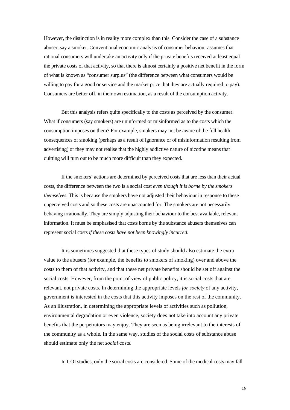However, the distinction is in reality more complex than this. Consider the case of a substance abuser, say a smoker. Conventional economic analysis of consumer behaviour assumes that rational consumers will undertake an activity only if the private benefits received at least equal the private costs of that activity, so that there is almost certainly a positive net benefit in the form of what is known as "consumer surplus" (the difference between what consumers would be willing to pay for a good or service and the market price that they are actually required to pay). Consumers are better off, in their own estimation, as a result of the consumption activity.

 But this analysis refers quite specifically to the costs as perceived by the consumer. What if consumers (say smokers) are uninformed or misinformed as to the costs which the consumption imposes on them? For example, smokers may not be aware of the full health consequences of smoking (perhaps as a result of ignorance or of misinformation resulting from advertising) or they may not realise that the highly addictive nature of nicotine means that quitting will turn out to be much more difficult than they expected.

 If the smokers' actions are determined by perceived costs that are less than their actual costs, the difference between the two is a social cost *even though it is borne by the smokers themselves*. This is because the smokers have not adjusted their behaviour in response to these unperceived costs and so these costs are unaccounted for. The smokers are not necessarily behaving irrationally. They are simply adjusting their behaviour to the best available, relevant information. It must be emphasised that costs borne by the substance abusers themselves can represent social costs *if these costs have not been knowingly incurred*.

It is sometimes suggested that these types of study should also estimate the extra value to the abusers (for example, the benefits to smokers of smoking) over and above the costs to them of that activity, and that these net private benefits should be set off against the social costs. However, from the point of view of public policy, it is social costs that are relevant, not private costs. In determining the appropriate levels *for society* of any activity, government is interested in the costs that this activity imposes on the rest of the community. As an illustration, in determining the appropriate levels of activities such as pollution, environmental degradation or even violence, society does not take into account any private benefits that the perpetrators may enjoy. They are seen as being irrelevant to the interests of the community as a whole. In the same way, studies of the social costs of substance abuse should estimate only the net *social* costs.

In COI studies, only the social costs are considered. Some of the medical costs may fall

*International Guidelines for Estimating the Costs of Substance Abuse-2001 edition 16*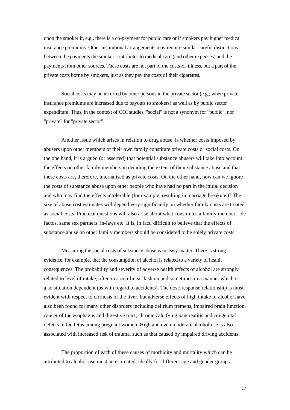upon the smoker if, e.g., there is a co-payment for public care or if smokers pay higher medical insurance premiums. Other institutional arrangements may require similar careful distinctions between the payments the smoker contributes to medical care (and other expenses) and the payments from other sources. These costs are not part of the costs-of-illness, but a part of the private costs borne by smokers, just as they pay the costs of their cigarettes.

 Social costs may be incurred by other persons in the private sector (e.g., when private insurance premiums are increased due to payouts to smokers) as well as by public sector expenditure. Thus, in the context of COI studies, "social" is not a synonym for "public", nor "private" for "private sector".

Another issue which arises in relation to drug abuse, is whether costs imposed by abusers upon other members of their own family constitute private costs or social costs. On the one hand, it is argued (or asserted) that potential substance abusers will take into account the effects on other family members in deciding the extent of their substance abuse and that these costs are, therefore, internalised as private costs. On the other hand, how can we ignore the costs of substance abuse upon other people who have had no part in the initial decision and who may find the effects intolerable (for example, resulting in marriage breakups)? The size of abuse cost estimates will depend very significantly on whether family costs are treated as social costs. Practical questions will also arise about what constitutes a family member – de factos, same sex partners, in-laws etc. It is, in fact, difficult to believe that the effects of substance abuse on other family members should be considered to be solely private costs.

 Measuring the social costs of substance abuse is no easy matter. There is strong evidence, for example, that the consumption of alcohol is related to a variety of health consequences. The probability and severity of adverse health effects of alcohol are strongly related to level of intake, often in a non-linear fashion and sometimes in a manner which is also situation dependent (as with regard to accidents). The dose-response relationship is most evident with respect to cirrhosis of the liver, but adverse effects of high intake of alcohol have also been found for many other disorders including delirium tremens, impaired brain function, cancer of the esophagus and digestive tract, chronic calcifying pancreatitis and congenital defects in the fetus among pregnant women. High and even moderate alcohol use is also associated with increased risk of trauma, such as that caused by impaired driving accidents.

 The proportion of each of these causes of morbidity and mortality which can be attributed to alcohol use must be estimated, ideally for different age and gender groups.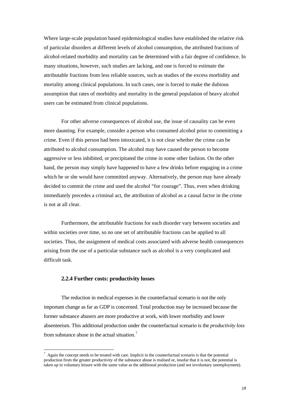<span id="page-17-0"></span>Where large-scale population based epidemiological studies have established the relative risk of particular disorders at different levels of alcohol consumption, the attributed fractions of alcohol-related morbidity and mortality can be determined with a fair degree of confidence. In many situations, however, such studies are lacking, and one is forced to estimate the attributable fractions from less reliable sources, such as studies of the excess morbidity and mortality among clinical populations. In such cases, one is forced to make the dubious assumption that rates of morbidity and mortality in the general population of heavy alcohol users can be estimated from clinical populations.

 For other adverse consequences of alcohol use, the issue of causality can be even more daunting. For example, consider a person who consumed alcohol prior to committing a crime. Even if this person had been intoxicated, it is not clear whether the crime can be attributed to alcohol consumption. The alcohol may have caused the person to become aggressive or less inhibited, or precipitated the crime in some other fashion. On the other hand, the person may simply have happened to have a few drinks before engaging in a crime which he or she would have committed anyway. Alternatively, the person may have already decided to commit the crime and used the alcohol "for courage". Thus, even when drinking immediately precedes a criminal act, the attribution of alcohol as a causal factor in the crime is not at all clear.

 Furthermore, the attributable fractions for each disorder vary between societies and within societies over time, so no one set of attributable fractions can be applied to all societies. Thus, the assignment of medical costs associated with adverse health consequences arising from the use of a particular substance such as alcohol is a very complicated and difficult task.

#### **2.2.4 Further costs: productivity losses**

1

 The reduction in medical expenses in the counterfactual scenario is not the only important change as far as GDP is concerned. Total production may be increased because the former substance abusers are more productive at work, with lower morbidity and lower absenteeism. This additional production under the counterfactual scenario is the *productivity loss* from substance abuse in the actual situation.<sup>[7](#page-17-0)</sup>

 $^7$  Again the concept needs to be treated with care. Implicit in the counterfactual scenario is that the potential production from the greater productivity of the substance abuse is realised or, insofar that it is not, the potential is taken up in voluntary leisure with the same value as the additional production (and not involuntary unemployment).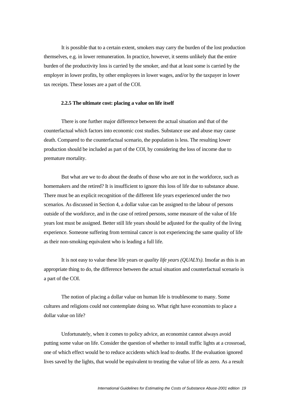It is possible that to a certain extent, smokers may carry the burden of the lost production themselves, e.g. in lower remuneration. In practice, however, it seems unlikely that the entire burden of the productivity loss is carried by the smoker, and that at least some is carried by the employer in lower profits, by other employees in lower wages, and/or by the taxpayer in lower tax receipts. These losses are a part of the COI.

#### **2.2.5 The ultimate cost: placing a value on life itself**

 There is one further major difference between the actual situation and that of the counterfactual which factors into economic cost studies. Substance use and abuse may cause death. Compared to the counterfactual scenario, the population is less. The resulting lower production should be included as part of the COI, by considering the loss of income due to premature mortality.

 But what are we to do about the deaths of those who are not in the workforce, such as homemakers and the retired? It is insufficient to ignore this loss of life due to substance abuse. There must be an explicit recognition of the different life years experienced under the two scenarios. As discussed in Section 4, a dollar value can be assigned to the labour of persons outside of the workforce, and in the case of retired persons, some measure of the value of life years lost must be assigned. Better still life years should be adjusted for the quality of the living experience. Someone suffering from terminal cancer is not experiencing the same quality of life as their non-smoking equivalent who is leading a full life.

 It is not easy to value these life years or *quality life years (QUALYs)*. Insofar as this is an appropriate thing to do, the difference between the actual situation and counterfactual scenario is a part of the COI.

 The notion of placing a dollar value on human life is troublesome to many. Some cultures and religions could not contemplate doing so. What right have economists to place a dollar value on life?

 Unfortunately, when it comes to policy advice, an economist cannot always avoid putting some value on life. Consider the question of whether to install traffic lights at a crossroad, one of which effect would be to reduce accidents which lead to deaths. If the evaluation ignored lives saved by the lights, that would be equivalent to treating the value of life as zero. As a result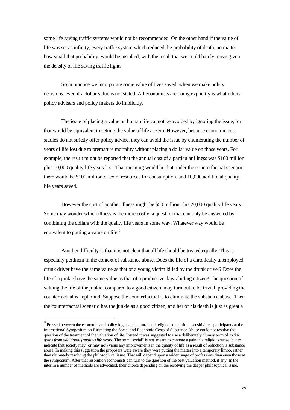<span id="page-19-0"></span>some life saving traffic systems would not be recommended. On the other hand if the value of life was set as infinity, every traffic system which reduced the probability of death, no matter how small that probability, would be installed, with the result that we could barely move given the density of life saving traffic lights.

 So in practice we incorporate some value of lives saved, when we make policy decisions, even if a dollar value is not stated. All economists are doing explicitly is what others, policy advisers and policy makers do implicitly.

 The issue of placing a value on human life cannot be avoided by ignoring the issue, for that would be equivalent to setting the value of life at zero. However, because economic cost studies do not strictly offer policy advice, they can avoid the issue by enumerating the number of years of life lost due to premature mortality without placing a dollar value on those years. For example, the result might be reported that the annual cost of a particular illness was \$100 million plus 10,000 quality life years lost. That meaning would be that under the counterfactual scenario, there would be \$100 million of extra resources for consumption, and 10,000 additional quality life years saved.

 However the cost of another illness might be \$50 million plus 20,000 quality life years. Some may wonder which illness is the more costly, a question that can only be answered by combining the dollars with the quality life years in some way. Whatever way would be equivalent to putting a value on life.<sup>[8](#page-19-0)</sup>

 Another difficulty is that it is not clear that all life should be treated equally. This is especially pertinent in the context of substance abuse. Does the life of a chronically unemployed drunk driver have the same value as that of a young victim killed by the drunk driver? Does the life of a junkie have the same value as that of a productive, law-abiding citizen? The question of valuing the life of the junkie, compared to a good citizen, may turn out to be trivial, providing the counterfactual is kept mind. Suppose the counterfactual is to eliminate the substance abuse. Then the counterfactual scenario has the junkie as a good citizen, and her or his death is just as great a

<u>.</u>

<sup>&</sup>lt;sup>8</sup> Pressed between the economic and policy logic, and cultural and religious or spiritual sensitivities, participants at the International Symposium on Estimating the Social and Economic Costs of Substance Abuse could not resolve the question of the treatment of the valuation of life. Instead it was suggested to use a deliberately clumsy term of *social gains from additional (quality) life years*. The term "social" is not meant to connote a gain in a religious sense, but to indicate that society may (or may not) value any improvements in the quality of life as a result of reduction is substance abuse. In making this suggestion the proposers were aware they were putting the matter into a temporary limbo, rather than ultimately resolving the philosophical issue. That will depend upon a wider range of professions than even those at the symposium. After that resolution economists can turn to the question of the best valuation method, if any. In the interim a number of methods are advocated, their choice depending on the resolving the deeper philosophical issue.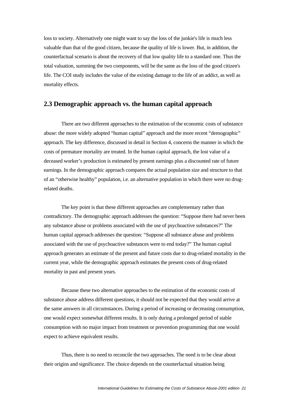loss to society. Alternatively one might want to say the loss of the junkie's life is much less valuable than that of the good citizen, because the quality of life is lower. But, in addition, the counterfactual scenario is about the recovery of that low quality life to a standard one. Thus the total valuation, summing the two components, will be the same as the loss of the good citizen's life. The COI study includes the value of the existing damage to the life of an addict, as well as mortality effects.

### **2.3 Demographic approach vs. the human capital approach**

 There are two different approaches to the estimation of the economic costs of substance abuse: the more widely adopted "human capital" approach and the more recent "demographic" approach. The key difference, discussed in detail in Section 4, concerns the manner in which the costs of premature mortality are treated. In the human capital approach, the lost value of a deceased worker's production is estimated by present earnings plus a discounted rate of future earnings. In the demographic approach compares the actual population size and structure to that of an "otherwise healthy" population, i.e. an alternative population in which there were no drugrelated deaths.

 The key point is that these different approaches are complementary rather than contradictory. The demographic approach addresses the question: "Suppose there had never been any substance abuse or problems associated with the use of psychoactive substances?" The human capital approach addresses the question: "Suppose all substance abuse and problems associated with the use of psychoactive substances were to end today?" The human capital approach generates an estimate of the present and future costs due to drug-related mortality in the current year, while the demographic approach estimates the present costs of drug-related mortality in past and present years.

 Because these two alternative approaches to the estimation of the economic costs of substance abuse address different questions, it should not be expected that they would arrive at the same answers in all circumstances. During a period of increasing or decreasing consumption, one would expect somewhat different results. It is only during a prolonged period of stable consumption with no major impact from treatment or prevention programming that one would expect to achieve equivalent results.

 Thus, there is no need to reconcile the two approaches. The need is to be clear about their origins and significance. The choice depends on the counterfactual situation being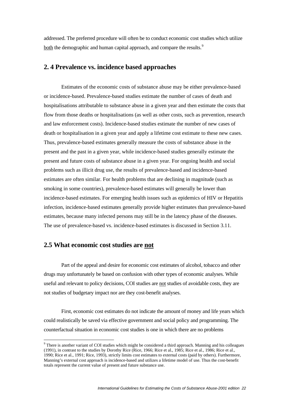<span id="page-21-0"></span>addressed. The preferred procedure will often be to conduct economic cost studies which utilize both the demographic and human capital approach, and compare the results.<sup>[9](#page-21-0)</sup>

#### **2. 4 Prevalence vs. incidence based approaches**

Estimates of the economic costs of substance abuse may be either prevalence-based or incidence-based. Prevalence-based studies estimate the number of cases of death and hospitalisations attributable to substance abuse in a given year and then estimate the costs that flow from those deaths or hospitalisations (as well as other costs, such as prevention, research and law enforcement costs). Incidence-based studies estimate the number of new cases of death or hospitalisation in a given year and apply a lifetime cost estimate to these new cases. Thus, prevalence-based estimates generally measure the costs of substance abuse in the present and the past in a given year, while incidence-based studies generally estimate the present and future costs of substance abuse in a given year. For ongoing health and social problems such as illicit drug use, the results of prevalence-based and incidence-based estimates are often similar. For health problems that are declining in magnitude (such as smoking in some countries), prevalence-based estimates will generally be lower than incidence-based estimates. For emerging health issues such as epidemics of HIV or Hepatitis infection, incidence-based estimates generally provide higher estimates than prevalence-based estimates, because many infected persons may still be in the latency phase of the diseases. The use of prevalence-based vs. incidence-based estimates is discussed in Section 3.11.

#### **2.5 What economic cost studies are not**

1

 Part of the appeal and desire for economic cost estimates of alcohol, tobacco and other drugs may unfortunately be based on confusion with other types of economic analyses. While useful and relevant to policy decisions, COI studies are not studies of avoidable costs, they are not studies of budgetary impact nor are they cost-benefit analyses.

 First, economic cost estimates do not indicate the amount of money and life years which could realistically be saved via effective government and social policy and programming. The counterfactual situation in economic cost studies is one in which there are no problems

<sup>&</sup>lt;sup>9</sup> There is another variant of COI studies which might be considered a third approach. Manning and his colleagues (1991), in contrast to the studies by Dorothy Rice (Rice, 1966; Rice et al., 1985; Rice et al., 1986; Rice et al., 1990; Rice et al., 1991; Rice, 1993), strictly limits cost estimates to external costs (paid by others). Furthermore, Manning's external cost approach is incidence-based and utilizes a lifetime model of use. Thus the cost-benefit totals represent the current value of present and future substance use.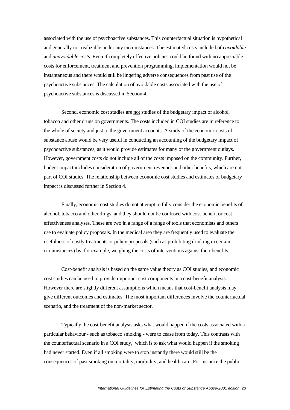associated with the use of psychoactive substances. This counterfactual situation is hypothetical and generally not realizable under any circumstances. The estimated costs include both *avoidable* and *unavoidable costs*. Even if completely effective policies could be found with no appreciable costs for enforcement, treatment and prevention programming, implementation would not be instantaneous and there would still be lingering adverse consequences from past use of the psychoactive substances. The calculation of avoidable costs associated with the use of psychoactive substances is discussed in Section 4.

Second, economic cost studies are not studies of the budgetary impact of alcohol, tobacco and other drugs on governments. The costs included in COI studies are in reference to the whole of society and just to the government accounts. A study of the economic costs of substance abuse would be very useful in conducting an accounting of the budgetary impact of psychoactive substances, as it would provide estimates for many of the government outlays. However, government costs do not include all of the costs imposed on the community. Further, budget impact includes consideration of government revenues and other benefits, which are not part of COI studies. The relationship between economic cost studies and estimates of budgetary impact is discussed further in Section 4.

 Finally, economic cost studies do not attempt to fully consider the economic benefits of alcohol, tobacco and other drugs, and they should not be confused with cost-benefit or cost effectiveness analyses. These are two in a range of a range of tools that economists and others use to evaluate policy proposals. In the medical area they are frequently used to evaluate the usefulness of costly treatments or policy proposals (such as prohibiting drinking in certain circumstances) by, for example, weighing the costs of interventions against their benefits.

 Cost-benefit analysis is based on the same value theory as COI studies, and economic cost studies can be used to provide important cost components in a cost-benefit analysis. However there are slightly different assumptions which means that cost-benefit analysis may give different outcomes and estimates. The most important differences involve the counterfactual scenario, and the treatment of the non-market sector.

 Typically the cost-benefit analysis asks what would happen if the costs associated with a particular behaviour - such as tobacco smoking - were to cease from today. This contrasts with the counterfactual scenario in a COI study, which is to ask what would happen if the smoking had never started. Even if all smoking were to stop instantly there would still be the consequences of past smoking on mortality, morbidity, and health care. For instance the public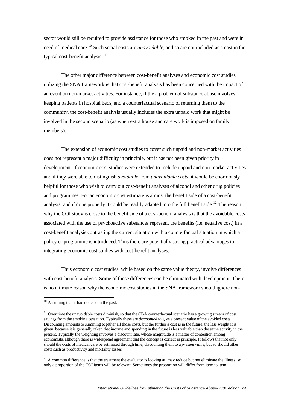<span id="page-23-0"></span>sector would still be required to provide assistance for those who smoked in the past and were in need of medical care.[10](#page-23-0) Such social costs are *unavoidable*, and so are not included as a cost in the typical cost-benefit analysis.<sup>[11](#page-23-0)</sup>

 The other major difference between cost-benefit analyses and economic cost studies utilizing the SNA framework is that cost-benefit analysis has been concerned with the impact of an event on non-market activities. For instance, if the a problem of substance abuse involves keeping patients in hospital beds, and a counterfactual scenario of returning them to the community, the cost-benefit analysis usually includes the extra unpaid work that might be involved in the second scenario (as when extra house and care work is imposed on family members).

 The extension of economic cost studies to cover such unpaid and non-market activities does not represent a major difficulty in principle, but it has not been given priority in development. If economic cost studies were extended to include unpaid and non-market activities and if they were able to distinguish *avoidable* from *unavoidable costs*, it would be enormously helpful for those who wish to carry out cost-benefit analyses of alcohol and other drug policies and programmes. For an economic cost estimate is almost the benefit side of a cost-benefit analysis, and if done properly it could be readily adapted into the full benefit side.<sup>[12](#page-23-0)</sup> The reason why the COI study is close to the benefit side of a cost-benefit analysis is that the avoidable costs associated with the use of psychoactive substances represent the benefits (i.e. negative cost) in a cost-benefit analysis contrasting the current situation with a counterfactual situation in which a policy or programme is introduced. Thus there are potentially strong practical advantages to integrating economic cost studies with cost-benefit analyses.

 Thus economic cost studies, while based on the same value theory, involve differences with cost-benefit analysis. Some of those differences can be eliminated with development. There is no ultimate reason why the economic cost studies in the SNA framework should ignore non-

<u>.</u>

<sup>&</sup>lt;sup>10</sup> Assuming that it had done so in the past.

 $11$  Over time the unavoidable costs diminish, so that the CBA counterfactual scenario has a growing stream of cost savings from the smoking cessation. Typically these are *discounted* to give a present value of the avoided costs. Discounting amounts to summing together all those costs, but the further a cost is in the future, the less weight it is given, because it is generally taken that income and spending in the future is less valuable than the same activity in the present. Typically the weighting involves a discount rate, whose magnitude is a matter of contention among economists, although there is widespread agreement that the concept is correct in principle. It follows that not only should the costs of medical care be estimated through time, discounting them to a *present value*, but so should other costs such as productivity and mortality losses.

 $12$  A common difference is that the treatment the evaluator is looking at, may reduce but not eliminate the illness, so only a proportion of the COI items will be relevant. Sometimes the proportion will differ from item to item.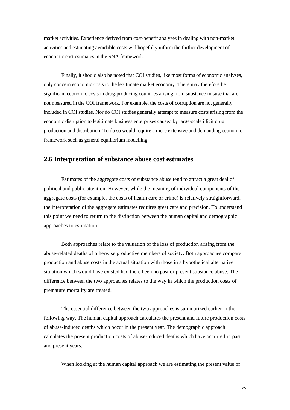market activities. Experience derived from cost-benefit analyses in dealing with non-market activities and estimating avoidable costs will hopefully inform the further development of economic cost estimates in the SNA framework.

 Finally, it should also be noted that COI studies, like most forms of economic analyses, only concern economic costs to the legitimate market economy. There may therefore be significant economic costs in drug-producing countries arising from substance misuse that are not measured in the COI framework. For example, the costs of corruption are not generally included in COI studies. Nor do COI studies generally attempt to measure costs arising from the economic disruption to legitimate business enterprises caused by large-scale illicit drug production and distribution. To do so would require a more extensive and demanding economic framework such as general equilibrium modelling.

### **2.6 Interpretation of substance abuse cost estimates**

Estimates of the aggregate costs of substance abuse tend to attract a great deal of political and public attention. However, while the meaning of individual components of the aggregate costs (for example, the costs of health care or crime) is relatively straightforward, the interpretation of the aggregate estimates requires great care and precision. To understand this point we need to return to the distinction between the human capital and demographic approaches to estimation.

Both approaches relate to the valuation of the loss of production arising from the abuse-related deaths of otherwise productive members of society. Both approaches compare production and abuse costs in the actual situation with those in a hypothetical alternative situation which would have existed had there been no past or present substance abuse. The difference between the two approaches relates to the way in which the production costs of premature mortality are treated.

The essential difference between the two approaches is summarized earlier in the following way. The human capital approach calculates the present and future production costs of abuse-induced deaths which occur in the present year. The demographic approach calculates the present production costs of abuse-induced deaths which have occurred in past and present years.

When looking at the human capital approach we are estimating the present value of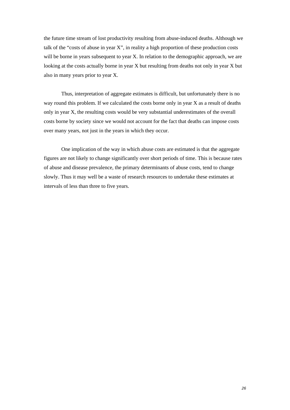the future time stream of lost productivity resulting from abuse-induced deaths. Although we talk of the "costs of abuse in year X", in reality a high proportion of these production costs will be borne in years subsequent to year X. In relation to the demographic approach, we are looking at the costs actually borne in year X but resulting from deaths not only in year X but also in many years prior to year X.

Thus, interpretation of aggregate estimates is difficult, but unfortunately there is no way round this problem. If we calculated the costs borne only in year X as a result of deaths only in year X, the resulting costs would be very substantial underestimates of the overall costs borne by society since we would not account for the fact that deaths can impose costs over many years, not just in the years in which they occur.

One implication of the way in which abuse costs are estimated is that the aggregate figures are not likely to change significantly over short periods of time. This is because rates of abuse and disease prevalence, the primary determinants of abuse costs, tend to change slowly. Thus it may well be a waste of research resources to undertake these estimates at intervals of less than three to five years.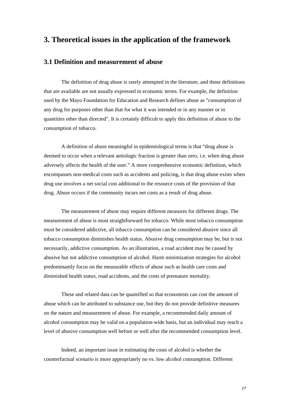### **3. Theoretical issues in the application of the framework**

#### **3.1 Definition and measurement of abuse**

 The definition of drug abuse is rarely attempted in the literature, and those definitions that are available are not usually expressed in economic terms. For example, the definition used by the Mayo Foundation for Education and Research defines abuse as "consumption of any drug for purposes other than that for what it was intended or in any manner or in quantities other than directed". It is certainly difficult to apply this definition of abuse to the consumption of tobacco.

 A definition of abuse meaningful in epidemiological terms is that "drug abuse is deemed to occur when a relevant aetiologic fraction is greater than zero, i.e. when drug abuse adversely affects the health of the user." A more comprehensive economic definition, which encompasses non-medical costs such as accidents and policing, is that drug abuse exists when drug use involves a net social cost additional to the resource costs of the provision of that drug. Abuse occurs if the community incurs net costs as a result of drug abuse.

 The measurement of abuse may require different measures for different drugs. The measurement of abuse is most straightforward for tobacco. While most tobacco consumption must be considered addictive, all tobacco consumption can be considered abusive since all tobacco consumption diminishes health status. Abusive drug consumption may be, but is not necessarily, addictive consumption. As an illustration, a road accident may be caused by abusive but not addictive consumption of alcohol. Harm minimization strategies for alcohol predominantly focus on the measurable effects of abuse such as health care costs and diminished health status, road accidents, and the costs of premature mortality.

 These and related data can be quantified so that economists can cost the amount of abuse which can be attributed to substance use, but they do not provide definitive measures on the nature and measurement of abuse. For example, a recommended daily amount of alcohol consumption may be valid on a population-wide basis, but an individual may reach a level of abusive consumption well before or well after the recommended consumption level.

 Indeed, an important issue in estimating the costs of alcohol is whether the counterfactual scenario is more appropriately no vs. low alcohol consumption. Different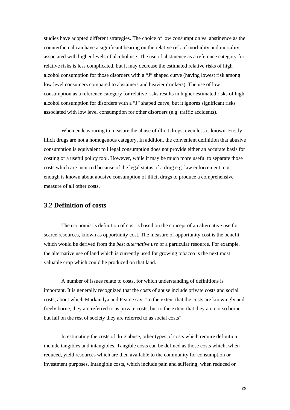studies have adopted different strategies. The choice of low consumption vs. abstinence as the counterfactual can have a significant bearing on the relative risk of morbidity and mortality associated with higher levels of alcohol use. The use of abstinence as a reference category for relative risks is less complicated, but it may decrease the estimated relative risks of high alcohol consumption for those disorders with a "J" shaped curve (having lowest risk among low level consumers compared to abstainers and heavier drinkers). The use of low consumption as a reference category for relative risks results in higher estimated risks of high alcohol consumption for disorders with a "J" shaped curve, but it ignores significant risks associated with low level consumption for other disorders (e.g. traffic accidents).

 When endeavouring to measure the abuse of illicit drugs, even less is known. Firstly, illicit drugs are not a homogenous category. In addition, the convenient definition that abusive consumption is equivalent to illegal consumption does not provide either an accurate basis for costing or a useful policy tool. However, while it may be much more useful to separate those costs which are incurred because of the legal status of a drug e.g. law enforcement, not enough is known about abusive consumption of illicit drugs to produce a comprehensive measure of all other costs.

#### **3.2 Definition of costs**

 The economist's definition of cost is based on the concept of an alternative use for scarce resources, known as opportunity cost. The measure of opportunity cost is the benefit which would be derived from the *best alternative use* of a particular resource. For example, the alternative use of land which is currently used for growing tobacco is the next most valuable crop which could be produced on that land.

 A number of issues relate to costs, for which understanding of definitions is important. It is generally recognized that the costs of abuse include private costs and social costs, about which Markandya and Pearce say: "to the extent that the costs are knowingly and freely borne, they are referred to as private costs, but to the extent that they are not so borne but fall on the rest of society they are referred to as social costs".

 In estimating the costs of drug abuse, other types of costs which require definition include tangibles and intangibles. Tangible costs can be defined as those costs which, when reduced, yield resources which are then available to the community for consumption or investment purposes. Intangible costs, which include pain and suffering, when reduced or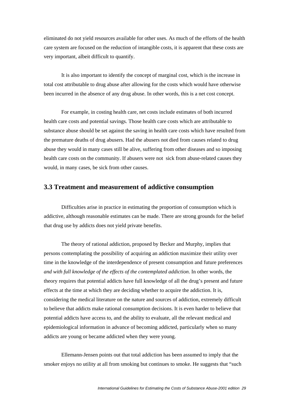eliminated do not yield resources available for other uses. As much of the efforts of the health care system are focused on the reduction of intangible costs, it is apparent that these costs are very important, albeit difficult to quantify.

 It is also important to identify the concept of marginal cost, which is the increase in total cost attributable to drug abuse after allowing for the costs which would have otherwise been incurred in the absence of any drug abuse. In other words, this is a net cost concept.

 For example, in costing health care, net costs include estimates of both incurred health care costs and potential savings. Those health care costs which are attributable to substance abuse should be set against the saving in health care costs which have resulted from the premature deaths of drug abusers. Had the abusers not died from causes related to drug abuse they would in many cases still be alive, suffering from other diseases and so imposing health care costs on the community. If abusers were not sick from abuse-related causes they would, in many cases, be sick from other causes.

#### **3.3 Treatment and measurement of addictive consumption**

 Difficulties arise in practice in estimating the proportion of consumption which is addictive, although reasonable estimates can be made. There are strong grounds for the belief that drug use by addicts does not yield private benefits.

 The theory of rational addiction, proposed by Becker and Murphy, implies that persons contemplating the possibility of acquiring an addiction maximize their utility over time in the knowledge of the interdependence of present consumption and future preferences *and with full knowledge of the effects of the contemplated addiction*. In other words, the theory requires that potential addicts have full knowledge of all the drug's present and future effects at the time at which they are deciding whether to acquire the addiction. It is, considering the medical literature on the nature and sources of addiction, extremely difficult to believe that addicts make rational consumption decisions. It is even harder to believe that potential addicts have access to, and the ability to evaluate, all the relevant medical and epidemiological information in advance of becoming addicted, particularly when so many addicts are young or became addicted when they were young.

 Ellemann-Jensen points out that total addiction has been assumed to imply that the smoker enjoys no utility at all from smoking but continues to smoke. He suggests that "such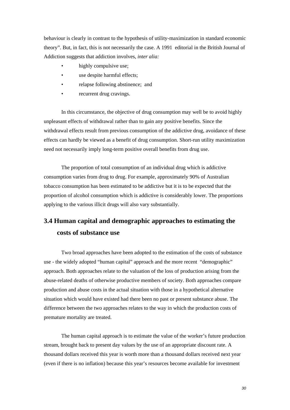behaviour is clearly in contrast to the hypothesis of utility-maximization in standard economic theory". But, in fact, this is not necessarily the case. A 1991 editorial in the British Journal of Addiction suggests that addiction involves, *inter alia:*

- highly compulsive use;
- use despite harmful effects;
- relapse following abstinence; and
- recurrent drug cravings.

 In this circumstance, the objective of drug consumption may well be to avoid highly unpleasant effects of withdrawal rather than to gain any positive benefits. Since the withdrawal effects result from previous consumption of the addictive drug, avoidance of these effects can hardly be viewed as a benefit of drug consumption. Short-run utility maximization need not necessarily imply long-term positive overall benefits from drug use.

 The proportion of total consumption of an individual drug which is addictive consumption varies from drug to drug. For example, approximately 90% of Australian tobacco consumption has been estimated to be addictive but it is to be expected that the proportion of alcohol consumption which is addictive is considerably lower. The proportions applying to the various illicit drugs will also vary substantially.

# **3.4 Human capital and demographic approaches to estimating the costs of substance use**

 Two broad approaches have been adopted to the estimation of the costs of substance use - the widely adopted "human capital" approach and the more recent "demographic" approach. Both approaches relate to the valuation of the loss of production arising from the abuse-related deaths of otherwise productive members of society. Both approaches compare production and abuse costs in the actual situation with those in a hypothetical alternative situation which would have existed had there been no past or present substance abuse. The difference between the two approaches relates to the way in which the production costs of premature mortality are treated.

 The human capital approach is to estimate the value of the worker's future production stream, brought back to present day values by the use of an appropriate discount rate. A thousand dollars received this year is worth more than a thousand dollars received next year (even if there is no inflation) because this year's resources become available for investment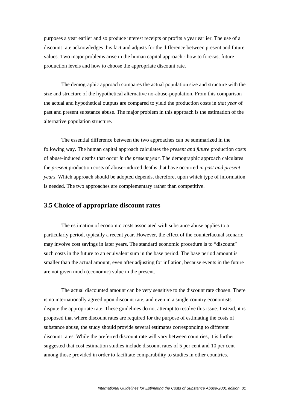purposes a year earlier and so produce interest receipts or profits a year earlier. The use of a discount rate acknowledges this fact and adjusts for the difference between present and future values. Two major problems arise in the human capital approach - how to forecast future production levels and how to choose the appropriate discount rate.

 The demographic approach compares the actual population size and structure with the size and structure of the hypothetical alternative no-abuse-population. From this comparison the actual and hypothetical outputs are compared to yield the production costs in *that year* of past and present substance abuse. The major problem in this approach is the estimation of the alternative population structure.

 The essential difference between the two approaches can be summarized in the following way. The human capital approach calculates the *present and future* production costs of abuse-induced deaths that occur *in the present year*. The demographic approach calculates the *present* production costs of abuse-induced deaths that have occurred *in past and present years*. Which approach should be adopted depends, therefore, upon which type of information is needed. The two approaches are complementary rather than competitive.

#### **3.5 Choice of appropriate discount rates**

 The estimation of economic costs associated with substance abuse applies to a particularly period, typically a recent year. However, the effect of the counterfactual scenario may involve cost savings in later years. The standard economic procedure is to "discount" such costs in the future to an equivalent sum in the base period. The base period amount is smaller than the actual amount, even after adjusting for inflation, because events in the future are not given much (economic) value in the present.

 The actual discounted amount can be very sensitive to the discount rate chosen. There is no internationally agreed upon discount rate, and even in a single country economists dispute the appropriate rate. These guidelines do not attempt to resolve this issue. Instead, it is proposed that where discount rates are required for the purpose of estimating the costs of substance abuse, the study should provide several estimates corresponding to different discount rates. While the preferred discount rate will vary between countries, it is further suggested that cost estimation studies include discount rates of 5 per cent and 10 per cent among those provided in order to facilitate comparability to studies in other countries.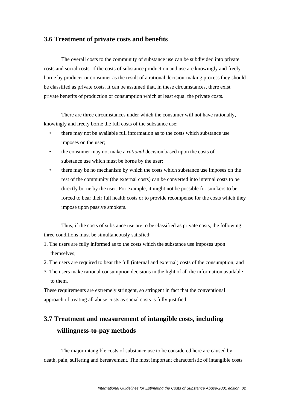#### **3.6 Treatment of private costs and benefits**

The overall costs to the community of substance use can be subdivided into private costs and social costs. If the costs of substance production and use are knowingly and freely borne by producer or consumer as the result of a rational decision-making process they should be classified as private costs. It can be assumed that, in these circumstances, there exist private benefits of production or consumption which at least equal the private costs.

 There are three circumstances under which the consumer will not have rationally, knowingly and freely borne the full costs of the substance use:

- there may not be available full information as to the costs which substance use imposes on the user;
- the consumer may not make a *rational* decision based upon the costs of substance use which must be borne by the user;
- there may be no mechanism by which the costs which substance use imposes on the rest of the community (the external costs) can be converted into internal costs to be directly borne by the user. For example, it might not be possible for smokers to be forced to bear their full health costs or to provide recompense for the costs which they impose upon passive smokers.

 Thus, if the costs of substance use are to be classified as private costs, the following three conditions must be simultaneously satisfied:

- 1. The users are fully informed as to the costs which the substance use imposes upon themselves;
- 2. The users are required to bear the full (internal and external) costs of the consumption; and
- 3. The users make rational consumption decisions in the light of all the information available to them.

These requirements are extremely stringent, so stringent in fact that the conventional approach of treating all abuse costs as social costs is fully justified.

# **3.7 Treatment and measurement of intangible costs, including willingness-to-pay methods**

The major intangible costs of substance use to be considered here are caused by death, pain, suffering and bereavement. The most important characteristic of intangible costs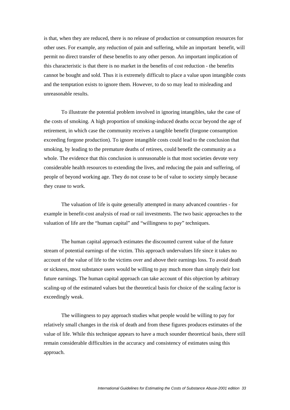is that, when they are reduced, there is no release of production or consumption resources for other uses. For example, any reduction of pain and suffering, while an important benefit, will permit no direct transfer of these benefits to any other person. An important implication of this characteristic is that there is no market in the benefits of cost reduction - the benefits cannot be bought and sold. Thus it is extremely difficult to place a value upon intangible costs and the temptation exists to ignore them. However, to do so may lead to misleading and unreasonable results.

 To illustrate the potential problem involved in ignoring intangibles, take the case of the costs of smoking. A high proportion of smoking-induced deaths occur beyond the age of retirement, in which case the community receives a tangible benefit (forgone consumption exceeding forgone production). To ignore intangible costs could lead to the conclusion that smoking, by leading to the premature deaths of retirees, could benefit the community as a whole. The evidence that this conclusion is unreasonable is that most societies devote very considerable health resources to extending the lives, and reducing the pain and suffering, of people of beyond working age. They do not cease to be of value to society simply because they cease to work.

 The valuation of life is quite generally attempted in many advanced countries - for example in benefit-cost analysis of road or rail investments. The two basic approaches to the valuation of life are the "human capital" and "willingness to pay" techniques.

 The human capital approach estimates the discounted current value of the future stream of potential earnings of the victim. This approach undervalues life since it takes no account of the value of life to the victims over and above their earnings loss. To avoid death or sickness, most substance users would be willing to pay much more than simply their lost future earnings. The human capital approach can take account of this objection by arbitrary scaling-up of the estimated values but the theoretical basis for choice of the scaling factor is exceedingly weak.

 The willingness to pay approach studies what people would be willing to pay for relatively small changes in the risk of death and from these figures produces estimates of the value of life. While this technique appears to have a much sounder theoretical basis, there still remain considerable difficulties in the accuracy and consistency of estimates using this approach.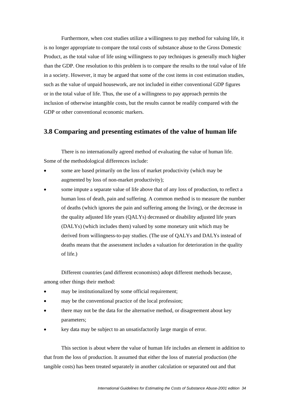Furthermore, when cost studies utilize a willingness to pay method for valuing life, it is no longer appropriate to compare the total costs of substance abuse to the Gross Domestic Product, as the total value of life using willingness to pay techniques is generally much higher than the GDP. One resolution to this problem is to compare the results to the total value of life in a society. However, it may be argued that some of the cost items in cost estimation studies, such as the value of unpaid housework, are not included in either conventional GDP figures or in the total value of life. Thus, the use of a willingness to pay approach permits the inclusion of otherwise intangible costs, but the results cannot be readily compared with the GDP or other conventional economic markers.

### **3.8 Comparing and presenting estimates of the value of human life**

There is no internationally agreed method of evaluating the value of human life. Some of the methodological differences include:

- some are based primarily on the loss of market productivity (which may be augmented by loss of non-market productivity);
- some impute a separate value of life above that of any loss of production, to reflect a human loss of death, pain and suffering. A common method is to measure the number of deaths (which ignores the pain and suffering among the living), or the decrease in the quality adjusted life years (QALYs) decreased or disability adjusted life years (DALYs) (which includes them) valued by some monetary unit which may be derived from willingness-to-pay studies. (The use of QALYs and DALYs instead of deaths means that the assessment includes a valuation for deterioration in the quality of life.)

Different countries (and different economists) adopt different methods because, among other things their method:

- may be institutionalized by some official requirement;
- may be the conventional practice of the local profession;
- there may not be the data for the alternative method, or disagreement about key parameters;
- key data may be subject to an unsatisfactorily large margin of error.

This section is about where the value of human life includes an element in addition to that from the loss of production. It assumed that either the loss of material production (the tangible costs) has been treated separately in another calculation or separated out and that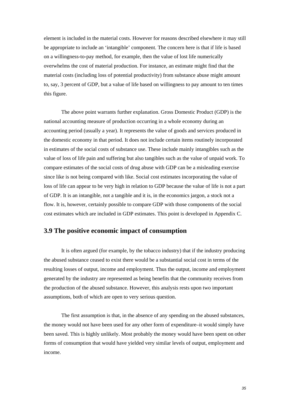element is included in the material costs. However for reasons described elsewhere it may still be appropriate to include an 'intangible' component. The concern here is that if life is based on a willingness-to-pay method, for example, then the value of lost life numerically overwhelms the cost of material production. For instance, an estimate might find that the material costs (including loss of potential productivity) from substance abuse might amount to, say, 3 percent of GDP, but a value of life based on willingness to pay amount to ten times this figure.

The above point warrants further explanation. Gross Domestic Product (GDP) is the national accounting measure of production occurring in a whole economy during an accounting period (usually a year). It represents the value of goods and services produced in the domestic economy in that period. It does not include certain items routinely incorporated in estimates of the social costs of substance use. These include mainly intangibles such as the value of loss of life pain and suffering but also tangibles such as the value of unpaid work. To compare estimates of the social costs of drug abuse with GDP can be a misleading exercise since like is not being compared with like. Social cost estimates incorporating the value of loss of life can appear to be very high in relation to GDP because the value of life is not a part of GDP. It is an intangible, not a tangible and it is, in the economics jargon, a stock not a flow. It is, however, certainly possible to compare GDP with those components of the social cost estimates which are included in GDP estimates. This point is developed in Appendix C.

#### **3.9 The positive economic impact of consumption**

 It is often argued (for example, by the tobacco industry) that if the industry producing the abused substance ceased to exist there would be a substantial social cost in terms of the resulting losses of output, income and employment. Thus the output, income and employment generated by the industry are represented as being benefits that the community receives from the production of the abused substance. However, this analysis rests upon two important assumptions, both of which are open to very serious question.

 The first assumption is that, in the absence of any spending on the abused substances, the money would not have been used for any other form of expenditure–it would simply have been saved. This is highly unlikely. Most probably the money would have been spent on other forms of consumption that would have yielded very similar levels of output, employment and income.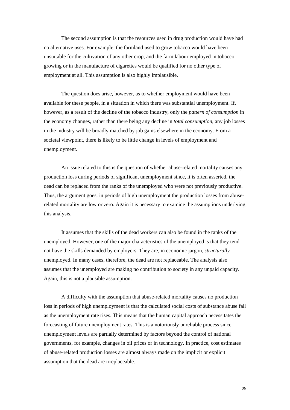The second assumption is that the resources used in drug production would have had no alternative uses. For example, the farmland used to grow tobacco would have been unsuitable for the cultivation of any other crop, and the farm labour employed in tobacco growing or in the manufacture of cigarettes would be qualified for no other type of employment at all. This assumption is also highly implausible.

 The question does arise, however, as to whether employment would have been available for these people, in a situation in which there was substantial unemployment. If, however, as a result of the decline of the tobacco industry, only the *pattern of consumption* in the economy changes, rather than there being any decline in *total consumption*, any job losses in the industry will be broadly matched by job gains elsewhere in the economy. From a societal viewpoint, there is likely to be little change in levels of employment and unemployment.

 An issue related to this is the question of whether abuse-related mortality causes any production loss during periods of significant unemployment since, it is often asserted, the dead can be replaced from the ranks of the unemployed who were not previously productive. Thus, the argument goes, in periods of high unemployment the production losses from abuserelated mortality are low or zero. Again it is necessary to examine the assumptions underlying this analysis.

 It assumes that the skills of the dead workers can also be found in the ranks of the unemployed. However, one of the major characteristics of the unemployed is that they tend not have the skills demanded by employers. They are, in economic jargon, *structurally* unemployed. In many cases, therefore, the dead are not replaceable. The analysis also assumes that the unemployed are making no contribution to society in any unpaid capacity. Again, this is not a plausible assumption.

 A difficulty with the assumption that abuse-related mortality causes no production loss in periods of high unemployment is that the calculated social costs of substance abuse fall as the unemployment rate rises. This means that the human capital approach necessitates the forecasting of future unemployment rates. This is a notoriously unreliable process since unemployment levels are partially determined by factors beyond the control of national governments, for example, changes in oil prices or in technology. In practice, cost estimates of abuse-related production losses are almost always made on the implicit or explicit assumption that the dead are irreplaceable.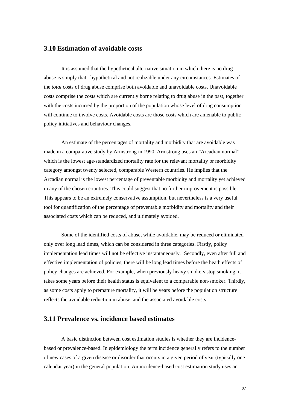## **3.10 Estimation of avoidable costs**

 It is assumed that the hypothetical alternative situation in which there is no drug abuse is simply that: hypothetical and not realizable under any circumstances. Estimates of the *total* costs of drug abuse comprise both avoidable and unavoidable costs. Unavoidable costs comprise the costs which are currently borne relating to drug abuse in the past, together with the costs incurred by the proportion of the population whose level of drug consumption will continue to involve costs. Avoidable costs are those costs which are amenable to public policy initiatives and behaviour changes.

 An estimate of the percentages of mortality and morbidity that are avoidable was made in a comparative study by Armstrong in 1990. Armstrong uses an "Arcadian normal", which is the lowest age-standardized mortality rate for the relevant mortality or morbidity category amongst twenty selected, comparable Western countries. He implies that the Arcadian normal is the lowest percentage of preventable morbidity and mortality yet achieved in any of the chosen countries. This could suggest that no further improvement is possible. This appears to be an extremely conservative assumption, but nevertheless is a very useful tool for quantification of the percentage of preventable morbidity and mortality and their associated costs which can be reduced, and ultimately avoided.

 Some of the identified costs of abuse, while avoidable, may be reduced or eliminated only over long lead times, which can be considered in three categories. Firstly, policy implementation lead times will not be effective instantaneously*.* Secondly, even after full and effective implementation of policies, there will be long lead times before the heath effects of policy changes are achieved. For example, when previously heavy smokers stop smoking, it takes some years before their health status is equivalent to a comparable non-smoker. Thirdly, as some costs apply to premature mortality, it will be years before the population structure reflects the avoidable reduction in abuse, and the associated avoidable costs.

# **3.11 Prevalence vs. incidence based estimates**

A basic distinction between cost estimation studies is whether they are incidencebased or prevalence-based. In epidemiology the term incidence generally refers to the number of new cases of a given disease or disorder that occurs in a given period of year (typically one calendar year) in the general population. An incidence-based cost estimation study uses an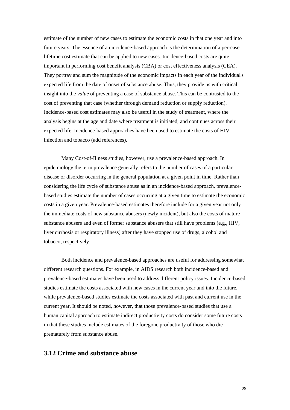estimate of the number of new cases to estimate the economic costs in that one year and into future years. The essence of an incidence-based approach is the determination of a per-case lifetime cost estimate that can be applied to new cases. Incidence-based costs are quite important in performing cost benefit analysis (CBA) or cost effectiveness analysis (CEA). They portray and sum the magnitude of the economic impacts in each year of the individual's expected life from the date of onset of substance abuse. Thus, they provide us with critical insight into the *value* of preventing a case of substance abuse. This can be contrasted to the cost of preventing that case (whether through demand reduction or supply reduction). Incidence-based cost estimates may also be useful in the study of treatment, where the analysis begins at the age and date where treatment is initiated, and continues across their expected life. Incidence-based approaches have been used to estimate the costs of HIV infection and tobacco (add references).

Many Cost-of-Illness studies, however, use a prevalence-based approach. In epidemiology the term prevalence generally refers to the number of cases of a particular disease or disorder occurring in the general population at a given point in time. Rather than considering the life cycle of substance abuse as in an incidence-based approach, prevalencebased studies estimate the number of cases occurring at a given time to estimate the economic costs in a given year. Prevalence-based estimates therefore include for a given year not only the immediate costs of new substance abusers (newly incident), but also the costs of mature substance abusers and even of former substance abusers that still have problems (e.g., HIV, liver cirrhosis or respiratory illness) after they have stopped use of drugs, alcohol and tobacco, respectively.

Both incidence and prevalence-based approaches are useful for addressing somewhat different research questions. For example, in AIDS research both incidence-based and prevalence-based estimates have been used to address different policy issues. Incidence-based studies estimate the costs associated with new cases in the current year and into the future, while prevalence-based studies estimate the costs associated with past and current use in the current year. It should be noted, however, that those prevalence-based studies that use a human capital approach to estimate indirect productivity costs do consider some future costs in that these studies include estimates of the foregone productivity of those who die prematurely from substance abuse.

### **3.12 Crime and substance abuse**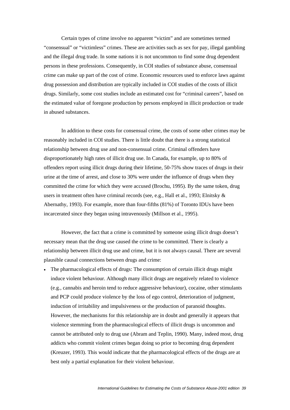Certain types of crime involve no apparent "victim" and are sometimes termed "consensual" or "victimless" crimes. These are activities such as sex for pay, illegal gambling and the illegal drug trade. In some nations it is not uncommon to find some drug dependent persons in these professions. Consequently, in COI studies of substance abuse, consensual crime can make up part of the cost of crime. Economic resources used to enforce laws against drug possession and distribution are typically included in COI studies of the costs of illicit drugs. Similarly, some cost studies include an estimated cost for "criminal careers", based on the estimated value of foregone production by persons employed in illicit production or trade in abused substances.

In addition to these costs for consensual crime, the costs of some other crimes may be reasonably included in COI studies. There is little doubt that there is a strong statistical relationship between drug use and non-consensual crime. Criminal offenders have disproportionately high rates of illicit drug use. In Canada, for example, up to 80% of offenders report using illicit drugs during their lifetime, 50-75% show traces of drugs in their urine at the time of arrest, and close to 30% were under the influence of drugs when they committed the crime for which they were accused (Brochu, 1995). By the same token, drug users in treatment often have criminal records (see, e.g., Hall et al., 1993; Elnitsky & Abernathy, 1993). For example, more than four-fifths (81%) of Toronto IDUs have been incarcerated since they began using intravenously (Millson et al., 1995).

 However, the fact that a crime is committed by someone using illicit drugs doesn't necessary mean that the drug use caused the crime to be committed. There is clearly a relationship between illicit drug use and crime, but it is not always causal. There are several plausible causal connections between drugs and crime:

• The pharmacological effects of drugs: The consumption of certain illicit drugs might induce violent behaviour. Although many illicit drugs are negatively related to violence (e.g., cannabis and heroin tend to reduce aggressive behaviour), cocaine, other stimulants and PCP could produce violence by the loss of ego control, deterioration of judgment, induction of irritability and impulsiveness or the production of paranoid thoughts. However, the mechanisms for this relationship are in doubt and generally it appears that violence stemming from the pharmacological effects of illicit drugs is uncommon and cannot be attributed only to drug use (Abram and Teplin, 1990). Many, indeed most, drug addicts who commit violent crimes began doing so prior to becoming drug dependent (Kreuzer, 1993). This would indicate that the pharmacological effects of the drugs are at best only a partial explanation for their violent behaviour.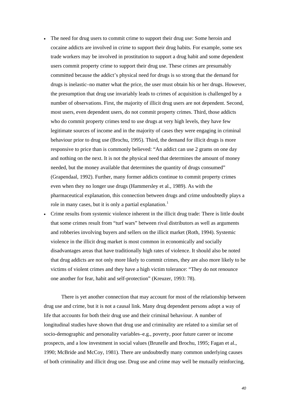- The need for drug users to commit crime to support their drug use: Some heroin and cocaine addicts are involved in crime to support their drug habits. For example, some sex trade workers may be involved in prostitution to support a drug habit and some dependent users commit property crime to support their drug use. These crimes are presumably committed because the addict's physical need for drugs is so strong that the demand for drugs is inelastic–no matter what the price, the user must obtain his or her drugs. However, the presumption that drug use invariably leads to crimes of acquisition is challenged by a number of observations. First, the majority of illicit drug users are not dependent. Second, most users, even dependent users, do not commit property crimes. Third, those addicts who do commit property crimes tend to use drugs at very high levels, they have few legitimate sources of income and in the majority of cases they were engaging in criminal behaviour prior to drug use (Brochu, 1995). Third, the demand for illicit drugs is more responsive to price than is commonly believed: "An addict can use 2 grams on one day and nothing on the next. It is not the physical need that determines the amount of money needed, but the money available that determines the quantity of drugs consumed" (Grapendaal, 1992). Further, many former addicts continue to commit property crimes even when they no longer use drugs (Hammersley et al., 1989). As with the pharmaceutical explanation, this connection between drugs and crime undoubtedly plays a role in many cases, but it is only a partial explanation.<sup>[1](#page-96-0)</sup>
- Crime results from systemic violence inherent in the illicit drug trade: There is little doubt that some crimes result from "turf wars" between rival distributors as well as arguments and robberies involving buyers and sellers on the illicit market (Roth, 1994). Systemic violence in the illicit drug market is most common in economically and socially disadvantages areas that have traditionally high rates of violence. It should also be noted that drug addicts are not only more likely to commit crimes, they are also more likely to be victims of violent crimes and they have a high victim tolerance: "They do not renounce one another for fear, habit and self-protection" (Kreuzer, 1993: 78).

 There is yet another connection that may account for most of the relationship between drug use and crime, but it is not a causal link. Many drug dependent persons adopt a way of life that accounts for both their drug use and their criminal behaviour. A number of longitudinal studies have shown that drug use and criminality are related to a similar set of socio-demographic and personality variables–e.g., poverty, poor future career or income prospects, and a low investment in social values (Brunelle and Brochu, 1995; Fagan et al., 1990; McBride and McCoy, 1981). There are undoubtedly many common underlying causes of both criminality and illicit drug use. Drug use and crime may well be mutually reinforcing,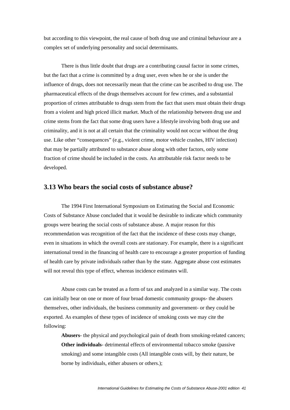but according to this viewpoint, the real cause of both drug use and criminal behaviour are a complex set of underlying personality and social determinants.

 There is thus little doubt that drugs are a contributing causal factor in some crimes, but the fact that a crime is committed by a drug user, even when he or she is under the influence of drugs, does not necessarily mean that the crime can be ascribed to drug use. The pharmaceutical effects of the drugs themselves account for few crimes, and a substantial proportion of crimes attributable to drugs stem from the fact that users must obtain their drugs from a violent and high priced illicit market. Much of the relationship between drug use and crime stems from the fact that some drug users have a lifestyle involving both drug use and criminality, and it is not at all certain that the criminality would not occur without the drug use. Like other "consequences" (e.g., violent crime, motor vehicle crashes, HIV infection) that may be partially attributed to substance abuse along with other factors, only some fraction of crime should be included in the costs. An attributable risk factor needs to be developed.

### **3.13 Who bears the social costs of substance abuse?**

 The 1994 First International Symposium on Estimating the Social and Economic Costs of Substance Abuse concluded that it would be desirable to indicate which community groups were bearing the social costs of substance abuse. A major reason for this recommendation was recognition of the fact that the incidence of these costs may change, even in situations in which the overall costs are stationary. For example, there is a significant international trend in the financing of health care to encourage a greater proportion of funding of health care by private individuals rather than by the state. Aggregate abuse cost estimates will not reveal this type of effect, whereas incidence estimates will.

 Abuse costs can be treated as a form of tax and analyzed in a similar way. The costs can initially bear on one or more of four broad domestic community groups- the abusers themselves, other individuals, the business community and government- or they could be exported. As examples of these types of incidence of smoking costs we may cite the following:

**Abusers**- the physical and psychological pain of death from smoking-related cancers; **Other individuals**- detrimental effects of environmental tobacco smoke (passive smoking) and some intangible costs (All intangible costs will, by their nature, be borne by individuals, either abusers or others.);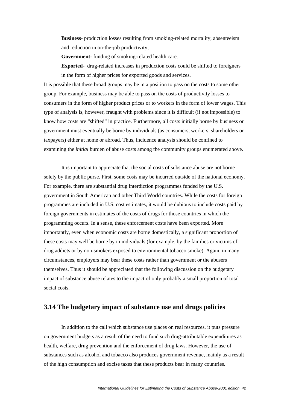**Business**- production losses resulting from smoking-related mortality, absenteeism and reduction in on-the-job productivity;

**Government**- funding of smoking-related health care.

**Exported**- drug-related increases in production costs could be shifted to foreigners in the form of higher prices for exported goods and services.

It is possible that these broad groups may be in a position to pass on the costs to some other group. For example, business may be able to pass on the costs of productivity losses to consumers in the form of higher product prices or to workers in the form of lower wages. This type of analysis is, however, fraught with problems since it is difficult (if not impossible) to know how costs are "shifted" in practice. Furthermore, all costs initially borne by business or government must eventually be borne by individuals (as consumers, workers, shareholders or taxpayers) either at home or abroad. Thus, incidence analysis should be confined to examining the *initial* burden of abuse costs among the community groups enumerated above.

It is important to appreciate that the social costs of substance abuse are not borne solely by the public purse. First, some costs may be incurred outside of the national economy. For example, there are substantial drug interdiction programmes funded by the U.S. government in South American and other Third World countries. While the costs for foreign programmes are included in U.S. cost estimates, it would be dubious to include costs paid by foreign governments in estimates of the costs of drugs for those countries in which the programming occurs. In a sense, these enforcement costs have been exported. More importantly, even when economic costs are borne domestically, a significant proportion of these costs may well be borne by in individuals (for example, by the families or victims of drug addicts or by non-smokers exposed to environmental tobacco smoke). Again, in many circumstances, employers may bear these costs rather than government or the abusers themselves. Thus it should be appreciated that the following discussion on the budgetary impact of substance abuse relates to the impact of only probably a small proportion of total social costs.

## **3.14 The budgetary impact of substance use and drugs policies**

 In addition to the call which substance use places on real resources, it puts pressure on government budgets as a result of the need to fund such drug-attributable expenditures as health, welfare, drug prevention and the enforcement of drug laws. However, the use of substances such as alcohol and tobacco also produces government revenue, mainly as a result of the high consumption and excise taxes that these products bear in many countries.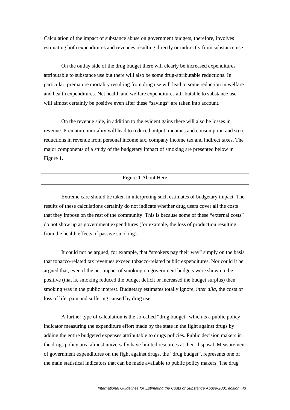Calculation of the impact of substance abuse on government budgets, therefore, involves estimating both expenditures and revenues resulting directly or indirectly from substance use.

 On the outlay side of the drug budget there will clearly be increased expenditures attributable to substance use but there will also be some drug-attributable reductions. In particular, premature mortality resulting from drug use will lead to some reduction in welfare and health expenditures. Net health and welfare expenditures attributable to substance use will almost certainly be positive even after these "savings" are taken into account.

 On the revenue side, in addition to the evident gains there will also be losses in revenue. Premature mortality will lead to reduced output, incomes and consumption and so to reductions in revenue from personal income tax, company income tax and indirect taxes. The major components of a study of the budgetary impact of smoking are presented below in Figure 1.

#### Figure 1 About Here

Extreme care should be taken in interpreting such estimates of budgetary impact. The results of these calculations certainly do not indicate whether drug users cover all the costs that they impose on the rest of the community. This is because some of these "external costs" do not show up as government expenditures (for example, the loss of production resulting from the health effects of passive smoking).

It could not be argued, for example, that "smokers pay their way" simply on the basis that tobacco-related tax revenues exceed tobacco-related public expenditures. Nor could it be argued that, even if the net impact of smoking on government budgets were shown to be positive (that is, smoking reduced the budget deficit or increased the budget surplus) then smoking was in the public interest. Budgetary estimates totally ignore, *inter alia*, the costs of loss of life, pain and suffering caused by drug use

A further type of calculation is the so-called "drug budget" which is a public policy indicator measuring the expenditure effort made by the state in the fight against drugs by adding the entire budgeted expenses attributable to drugs policies. Public decision makers in the drugs policy area almost universally have limited resources at their disposal. Measurement of government expenditures on the fight against drugs, the "drug budget", represents one of the main statistical indicators that can be made available to public policy makers. The drug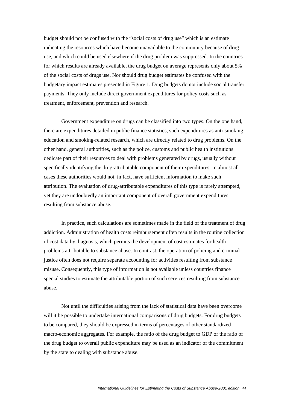budget should not be confused with the "social costs of drug use" which is an estimate indicating the resources which have become unavailable to the community because of drug use, and which could be used elsewhere if the drug problem was suppressed. In the countries for which results are already available, the drug budget on average represents only about 5% of the social costs of drugs use. Nor should drug budget estimates be confused with the budgetary impact estimates presented in Figure 1. Drug budgets do not include social transfer payments. They only include direct government expenditures for policy costs such as treatment, enforcement, prevention and research.

Government expenditure on drugs can be classified into two types. On the one hand, there are expenditures detailed in public finance statistics, such expenditures as anti-smoking education and smoking-related research, which are directly related to drug problems. On the other hand, general authorities, such as the police, customs and public health institutions dedicate part of their resources to deal with problems generated by drugs, usually without specifically identifying the drug-attributable component of their expenditures. In almost all cases these authorities would not, in fact, have sufficient information to make such attribution. The evaluation of drug-attributable expenditures of this type is rarely attempted, yet they are undoubtedly an important component of overall government expenditures resulting from substance abuse.

In practice, such calculations are sometimes made in the field of the treatment of drug addiction. Administration of health costs reimbursement often results in the routine collection of cost data by diagnosis, which permits the development of cost estimates for health problems attributable to substance abuse. In contrast, the operation of policing and criminal justice often does not require separate accounting for activities resulting from substance misuse. Consequently, this type of information is not available unless countries finance special studies to estimate the attributable portion of such services resulting from substance abuse.

Not until the difficulties arising from the lack of statistical data have been overcome will it be possible to undertake international comparisons of drug budgets. For drug budgets to be compared, they should be expressed in terms of percentages of other standardized macro-economic aggregates. For example, the ratio of the drug budget to GDP or the ratio of the drug budget to overall public expenditure may be used as an indicator of the commitment by the state to dealing with substance abuse.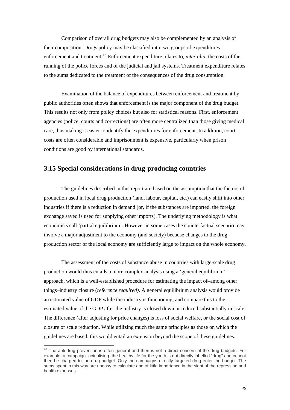<span id="page-44-0"></span>Comparison of overall drug budgets may also be complemented by an analysis of their composition. Drugs policy may be classified into two groups of expenditures: enforcement and treatment.<sup>[13](#page-44-0)</sup> Enforcement expenditure relates to, *inter alia*, the costs of the running of the police forces and of the judicial and jail systems. Treatment expenditure relates to the sums dedicated to the treatment of the consequences of the drug consumption.

Examination of the balance of expenditures between enforcement and treatment by public authorities often shows that enforcement is the major component of the drug budget. This results not only from policy choices but also for statistical reasons. First, enforcement agencies (police, courts and corrections) are often more centralized than those giving medical care, thus making it easier to identify the expenditures for enforcement. In addition, court costs are often considerable and imprisonment is expensive, particularly when prison conditions are good by international standards.

# **3.15 Special considerations in drug-producing countries**

The guidelines described in this report are based on the assumption that the factors of production used in local drug production (land, labour, capital, etc.) can easily shift into other industries if there is a reduction in demand (or, if the substances are imported, the foreign exchange saved is used for supplying other imports). The underlying methodology is what economists call 'partial equilibrium'. However in some cases the counterfactual scenario may involve a major adjustment to the economy (and society) because changes to the drug production sector of the local economy are sufficiently large to impact on the whole economy.

The assessment of the costs of substance abuse in countries with large-scale drug production would thus entails a more complex analysis using a 'general equilibrium' approach, which is a well-established procedure for estimating the impact of–among other things–industry closure (*reference required)*. A general equilibrium analysis would provide an estimated value of GDP while the industry is functioning, and compare this to the estimated value of the GDP after the industry is closed down or reduced substantially in scale. The difference (after adjusting for price changes) is loss of social welfare, or the social cost of closure or scale reduction. While utilizing much the same principles as those on which the guidelines are based, this would entail an extension beyond the scope of these guidelines.

1

 $13$  The anti-drug prevention is often general and then is not a direct concern of the drug budgets. For example, a campaign actualising the healthy life for the youth is not directly labelled "drug" and cannot then be charged to the drug budget. Only the campaigns directly targeted drug enter the budget. The sums spent in this way are uneasy to calculate and of little importance in the sight of the repression and health expenses.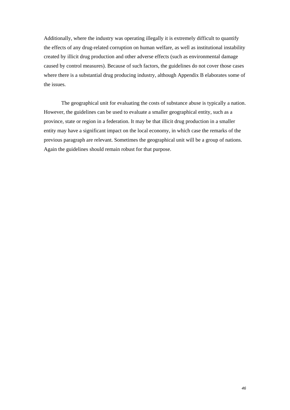Additionally, where the industry was operating illegally it is extremely difficult to quantify the effects of any drug-related corruption on human welfare, as well as institutional instability created by illicit drug production and other adverse effects (such as environmental damage caused by control measures). Because of such factors, the guidelines do not cover those cases where there is a substantial drug producing industry, although Appendix B elaborates some of the issues.

The geographical unit for evaluating the costs of substance abuse is typically a nation. However, the guidelines can be used to evaluate a smaller geographical entity, such as a province, state or region in a federation. It may be that illicit drug production in a smaller entity may have a significant impact on the local economy, in which case the remarks of the previous paragraph are relevant. Sometimes the geographical unit will be a group of nations. Again the guidelines should remain robust for that purpose.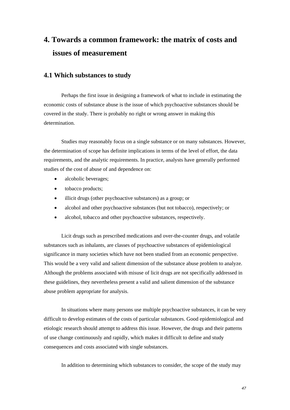# **4. Towards a common framework: the matrix of costs and issues of measurement**

# **4.1 Which substances to study**

 Perhaps the first issue in designing a framework of what to include in estimating the economic costs of substance abuse is the issue of which psychoactive substances should be covered in the study. There is probably no right or wrong answer in making this determination.

 Studies may reasonably focus on a single substance or on many substances. However, the determination of scope has definite implications in terms of the level of effort, the data requirements, and the analytic requirements. In practice, analysts have generally performed studies of the cost of abuse of and dependence on:

- alcoholic beverages:
- tobacco products;
- illicit drugs (other psychoactive substances) as a group; or
- alcohol and other psychoactive substances (but not tobacco), respectively; or
- alcohol, tobacco and other psychoactive substances, respectively.

 Licit drugs such as prescribed medications and over-the-counter drugs, and volatile substances such as inhalants, are classes of psychoactive substances of epidemiological significance in many societies which have not been studied from an economic perspective. This would be a very valid and salient dimension of the substance abuse problem to analyze. Although the problems associated with misuse of licit drugs are not specifically addressed in these guidelines, they nevertheless present a valid and salient dimension of the substance abuse problem appropriate for analysis.

 In situations where many persons use multiple psychoactive substances, it can be very difficult to develop estimates of the costs of particular substances. Good epidemiological and etiologic research should attempt to address this issue. However, the drugs and their patterns of use change continuously and rapidly, which makes it difficult to define and study consequences and costs associated with single substances.

In addition to determining which substances to consider, the scope of the study may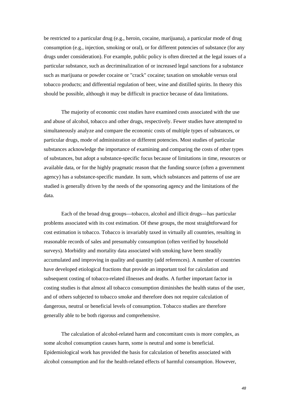be restricted to a particular drug (e.g., heroin, cocaine, marijuana), a particular mode of drug consumption (e.g., injection, smoking or oral), or for different potencies of substance (for any drugs under consideration). For example, public policy is often directed at the legal issues of a particular substance, such as decriminalization of or increased legal sanctions for a substance such as marijuana or powder cocaine or "crack" cocaine; taxation on smokable versus oral tobacco products; and differential regulation of beer, wine and distilled spirits. In theory this should be possible, although it may be difficult in practice because of data limitations.

 The majority of economic cost studies have examined costs associated with the use and abuse of alcohol, tobacco and other drugs, respectively. Fewer studies have attempted to simultaneously analyze and compare the economic costs of multiple types of substances, or particular drugs, mode of administration or different potencies. Most studies of particular substances acknowledge the importance of examining and comparing the costs of other types of substances, but adopt a substance-specific focus because of limitations in time, resources or available data, or for the highly pragmatic reason that the funding source (often a government agency) has a substance-specific mandate. In sum, which substances and patterns of use are studied is generally driven by the needs of the sponsoring agency and the limitations of the data.

 Each of the broad drug groups—tobacco, alcohol and illicit drugs—has particular problems associated with its cost estimation. Of these groups, the most straightforward for cost estimation is tobacco. Tobacco is invariably taxed in virtually all countries, resulting in reasonable records of sales and presumably consumption (often verified by household surveys). Morbidity and mortality data associated with smoking have been steadily accumulated and improving in quality and quantity (add references). A number of countries have developed etiological fractions that provide an important tool for calculation and subsequent costing of tobacco-related illnesses and deaths. A further important factor in costing studies is that almost all tobacco consumption diminishes the health status of the user, and of others subjected to tobacco smoke and therefore does not require calculation of dangerous, neutral or beneficial levels of consumption. Tobacco studies are therefore generally able to be both rigorous and comprehensive.

 The calculation of alcohol-related harm and concomitant costs is more complex, as some alcohol consumption causes harm, some is neutral and some is beneficial. Epidemiological work has provided the basis for calculation of benefits associated with alcohol consumption and for the health-related effects of harmful consumption. However,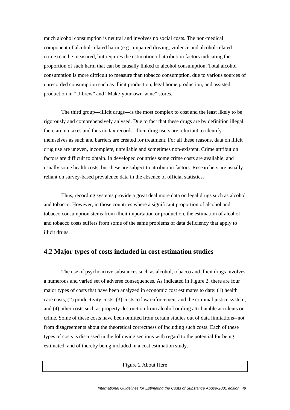much alcohol consumption is neutral and involves no social costs. The non-medical component of alcohol-related harm (e.g., impaired driving, violence and alcohol-related crime) can be measured, but requires the estimation of attribution factors indicating the proportion of such harm that can be causally linked to alcohol consumption. Total alcohol consumption is more difficult to measure than tobacco consumption, due to various sources of unrecorded consumption such as illicit production, legal home production, and assisted production in "U-brew" and "Make-your-own-wine" stores.

 The third group—illicit drugs—is the most complex to cost and the least likely to be rigorously and comprehensively anlysed. Due to fact that these drugs are by definition illegal, there are no taxes and thus no tax records. Illicit drug users are reluctant to identify themselves as such and barriers are created for treatment. For all these reasons, data on illicit drug use are uneven, incomplete, unreliable and sometimes non-existent. Crime attribution factors are difficult to obtain. In developed countries some crime costs are available, and usually some health costs, but these are subject to attribution factors. Researchers are usually reliant on survey-based prevalence data in the absence of official statistics.

Thus, recording systems provide a great deal more data on legal drugs such as alcohol and tobacco. However, in those countries where a significant proportion of alcohol and tobacco consumption stems from illicit importation or production, the estimation of alcohol and tobacco costs suffers from some of the same problems of data deficiency that apply to illicit drugs.

### **4.2 Major types of costs included in cost estimation studies**

 The use of psychoactive substances such as alcohol, tobacco and illicit drugs involves a numerous and varied set of adverse consequences. As indicated in Figure 2, there are four major types of costs that have been analyzed in economic cost estimates to date: (1) health care costs, (2) productivity costs, (3) costs to law enforcement and the criminal justice system, and (4) other costs such as property destruction from alcohol or drug attributable accidents or crime. Some of these costs have been omitted from certain studies out of data limitations--not from disagreements about the theoretical correctness of including such costs. Each of these types of costs is discussed in the following sections with regard to the potential for being estimated, and of thereby being included in a cost estimation study.

Figure 2 About Here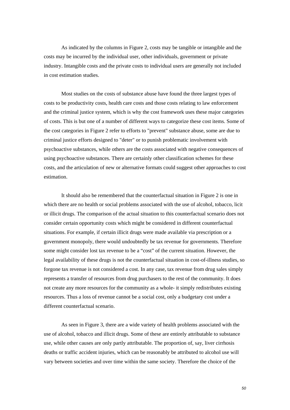As indicated by the columns in Figure 2, costs may be tangible or intangible and the costs may be incurred by the individual user, other individuals, government or private industry. Intangible costs and the private costs to individual users are generally not included in cost estimation studies.

 Most studies on the costs of substance abuse have found the three largest types of costs to be productivity costs, health care costs and those costs relating to law enforcement and the criminal justice system, which is why the cost framework uses these major categories of costs. This is but one of a number of different ways to categorize these cost items. Some of the cost categories in Figure 2 refer to efforts to "prevent" substance abuse, some are due to criminal justice efforts designed to "deter" or to punish problematic involvement with psychoactive substances, while others are the costs associated with negative consequences of using psychoactive substances. There are certainly other classification schemes for these costs, and the articulation of new or alternative formats could suggest other approaches to cost estimation.

 It should also be remembered that the counterfactual situation in Figure 2 is one in which there are no health or social problems associated with the use of alcohol, tobacco, licit or illicit drugs. The comparison of the actual situation to this counterfactual scenario does not consider certain opportunity costs which might be considered in different counterfactual situations. For example, if certain illicit drugs were made available via prescription or a government monopoly, there would undoubtedly be tax revenue for governments. Therefore some might consider lost tax revenue to be a "cost" of the current situation. However, the legal availability of these drugs is not the counterfactual situation in cost-of-illness studies, so forgone tax revenue is not considered a cost. In any case, tax revenue from drug sales simply represents a transfer of resources from drug purchasers to the rest of the community. It does not create any more resources for the community as a whole- it simply redistributes existing resources. Thus a loss of revenue cannot be a social cost, only a budgetary cost under a different counterfactual scenario.

 As seen in Figure 3, there are a wide variety of health problems associated with the use of alcohol, tobacco and illicit drugs. Some of these are entirely attributable to substance use, while other causes are only partly attributable. The proportion of, say, liver cirrhosis deaths or traffic accident injuries, which can be reasonably be attributed to alcohol use will vary between societies and over time within the same society. Therefore the choice of the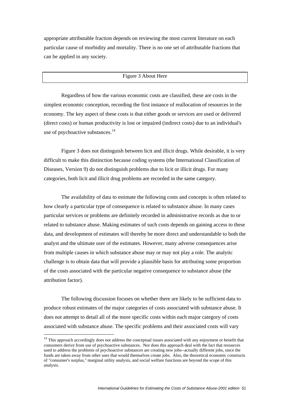<span id="page-50-0"></span>appropriate attributable fraction depends on reviewing the most current literature on each particular cause of morbidity and mortality. There is no one set of attributable fractions that can be applied in any society.

#### Figure 3 About Here

 Regardless of how the various economic costs are classified, these are costs in the simplest economic conception, recording the first instance of reallocation of resources in the economy. The key aspect of these costs is that either goods or services are used or delivered (direct costs) or human productivity is lost or impaired (indirect costs) due to an individual's use of psychoactive substances.<sup>[14](#page-50-0)</sup>

 Figure 3 does not distinguish between licit and illicit drugs. While desirable, it is very difficult to make this distinction because coding systems (the International Classification of Diseases, Version 9) do not distinguish problems due to licit or illicit drugs. For many categories, both licit and illicit drug problems are recorded in the same category.

 The availability of data to estimate the following costs and concepts is often related to how clearly a particular type of consequence is related to substance abuse. In many cases particular services or problems are definitely recorded in administrative records as due to or related to substance abuse. Making estimates of such costs depends on gaining access to these data, and development of estimates will thereby be more direct and understandable to both the analyst and the ultimate user of the estimates. However, many adverse consequences arise from multiple causes in which substance abuse may or may not play a role. The analytic challenge is to obtain data that will provide a plausible basis for attributing some proportion of the costs associated with the particular negative consequence to substance abuse (the attribution factor).

 The following discussion focuses on whether there are likely to be sufficient data to produce robust estimates of the major categories of costs associated with substance abuse. It does not attempt to detail all of the more specific costs within each major category of costs associated with substance abuse. The specific problems and their associated costs will vary

<u>.</u>

<sup>&</sup>lt;sup>14</sup> This approach accordingly does not address the conceptual issues associated with any enjoyment or benefit that consumers derive from use of psychoactive substances. Nor does this approach deal with the fact that resources used to address the problems of psychoactive substances are creating new jobs--actually different jobs, since the funds are taken away from other uses that would themselves create jobs. Also, the theoretical economic constructs of "consumer's surplus," marginal utility analysis, and social welfare functions are beyond the scope of this analysis.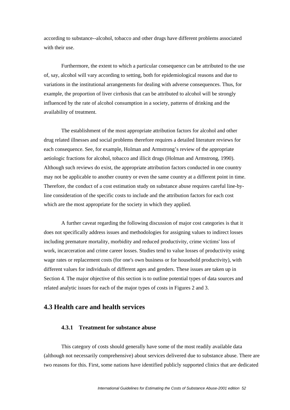according to substance--alcohol, tobacco and other drugs have different problems associated with their use.

 Furthermore, the extent to which a particular consequence can be attributed to the use of, say, alcohol will vary according to setting, both for epidemiological reasons and due to variations in the institutional arrangements for dealing with adverse consequences. Thus, for example, the proportion of liver cirrhosis that can be attributed to alcohol will be strongly influenced by the rate of alcohol consumption in a society, patterns of drinking and the availability of treatment.

 The establishment of the most appropriate attribution factors for alcohol and other drug related illnesses and social problems therefore requires a detailed literature reviews for each consequence. See, for example, Holman and Armstrong's review of the appropriate aetiologic fractions for alcohol, tobacco and illicit drugs (Holman and Armstrong, 1990). Although such reviews do exist, the appropriate attribution factors conducted in one country may not be applicable to another country or even the same country at a different point in time. Therefore, the conduct of a cost estimation study on substance abuse requires careful line-byline consideration of the specific costs to include and the attribution factors for each cost which are the most appropriate for the society in which they applied.

 A further caveat regarding the following discussion of major cost categories is that it does not specifically address issues and methodologies for assigning values to indirect losses including premature mortality, morbidity and reduced productivity, crime victims' loss of work, incarceration and crime career losses. Studies tend to value losses of productivity using wage rates or replacement costs (for one's own business or for household productivity), with different values for individuals of different ages and genders. These issues are taken up in Section 4. The major objective of this section is to outline potential types of data sources and related analytic issues for each of the major types of costs in Figures 2 and 3.

# **4.3 Health care and health services**

### **4.3.1 Treatment for substance abuse**

 This category of costs should generally have some of the most readily available data (although not necessarily comprehensive) about services delivered due to substance abuse. There are two reasons for this. First, some nations have identified publicly supported clinics that are dedicated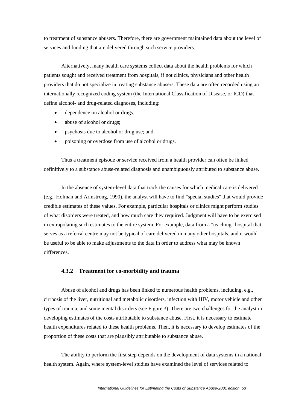to treatment of substance abusers. Therefore, there are government maintained data about the level of services and funding that are delivered through such service providers.

 Alternatively, many health care systems collect data about the health problems for which patients sought and received treatment from hospitals, if not clinics, physicians and other health providers that do not specialize in treating substance abusers. These data are often recorded using an internationally recognized coding system (the International Classification of Disease, or ICD) that define alcohol- and drug-related diagnoses, including:

- dependence on alcohol or drugs;
- abuse of alcohol or drugs;
- psychosis due to alcohol or drug use; and
- poisoning or overdose from use of alcohol or drugs.

 Thus a treatment episode or service received from a health provider can often be linked definitively to a substance abuse-related diagnosis and unambiguously attributed to substance abuse.

 In the absence of system-level data that track the causes for which medical care is delivered (e.g., Holman and Armstrong, 1990), the analyst will have to find "special studies" that would provide credible estimates of these values. For example, particular hospitals or clinics might perform studies of what disorders were treated, and how much care they required. Judgment will have to be exercised in extrapolating such estimates to the entire system. For example, data from a "teaching" hospital that serves as a referral centre may not be typical of care delivered in many other hospitals, and it would be useful to be able to make adjustments to the data in order to address what may be known differences.

### **4.3.2 Treatment for co-morbidity and trauma**

 Abuse of alcohol and drugs has been linked to numerous health problems, including, e.g., cirrhosis of the liver, nutritional and metabolic disorders, infection with HIV, motor vehicle and other types of trauma, and some mental disorders (see Figure 3). There are two challenges for the analyst in developing estimates of the costs attributable to substance abuse. First, it is necessary to estimate health expenditures related to these health problems. Then, it is necessary to develop estimates of the proportion of these costs that are plausibly attributable to substance abuse.

 The ability to perform the first step depends on the development of data systems in a national health system. Again, where system-level studies have examined the level of services related to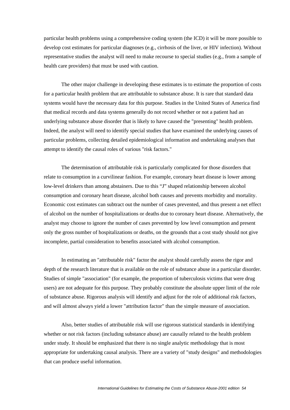particular health problems using a comprehensive coding system (the ICD) it will be more possible to develop cost estimates for particular diagnoses (e.g., cirrhosis of the liver, or HIV infection). Without representative studies the analyst will need to make recourse to special studies (e.g., from a sample of health care providers) that must be used with caution.

 The other major challenge in developing these estimates is to estimate the proportion of costs for a particular health problem that are attributable to substance abuse. It is rare that standard data systems would have the necessary data for this purpose. Studies in the United States of America find that medical records and data systems generally do not record whether or not a patient had an underlying substance abuse disorder that is likely to have caused the "presenting" health problem. Indeed, the analyst will need to identify special studies that have examined the underlying causes of particular problems, collecting detailed epidemiological information and undertaking analyses that attempt to identify the causal roles of various "risk factors."

 The determination of attributable risk is particularly complicated for those disorders that relate to consumption in a curvilinear fashion. For example, coronary heart disease is lower among low-level drinkers than among abstainers. Due to this "J" shaped relationship between alcohol consumption and coronary heart disease, alcohol both causes and prevents morbidity and mortality. Economic cost estimates can subtract out the number of cases prevented, and thus present a net effect of alcohol on the number of hospitalizations or deaths due to coronary heart disease. Alternatively, the analyst may choose to ignore the number of cases prevented by low level consumption and present only the gross number of hospitalizations or deaths, on the grounds that a cost study should not give incomplete, partial consideration to benefits associated with alcohol consumption.

 In estimating an "attributable risk" factor the analyst should carefully assess the rigor and depth of the research literature that is available on the role of substance abuse in a particular disorder. Studies of simple "association" (for example, the proportion of tuberculosis victims that were drug users) are not adequate for this purpose. They probably constitute the absolute upper limit of the role of substance abuse. Rigorous analysis will identify and adjust for the role of additional risk factors, and will almost always yield a lower "attribution factor" than the simple measure of association.

 Also, better studies of attributable risk will use rigorous statistical standards in identifying whether or not risk factors (including substance abuse) are causally related to the health problem under study. It should be emphasized that there is no single analytic methodology that is most appropriate for undertaking causal analysis. There are a variety of "study designs" and methodologies that can produce useful information.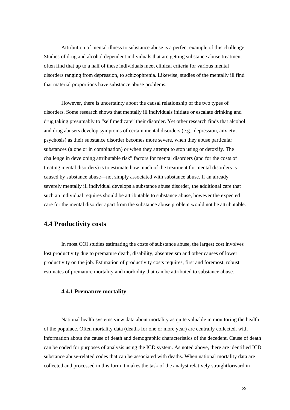Attribution of mental illness to substance abuse is a perfect example of this challenge. Studies of drug and alcohol dependent individuals that are getting substance abuse treatment often find that up to a half of these individuals meet clinical criteria for various mental disorders ranging from depression, to schizophrenia. Likewise, studies of the mentally ill find that material proportions have substance abuse problems.

However, there is uncertainty about the causal relationship of the two types of disorders. Some research shows that mentally ill individuals initiate or escalate drinking and drug taking presumably to "self medicate" their disorder. Yet other research finds that alcohol and drug abusers develop symptoms of certain mental disorders (e.g., depression, anxiety, psychosis) as their substance disorder becomes more severe, when they abuse particular substances (alone or in combination) or when they attempt to stop using or detoxify. The challenge in developing attributable risk" factors for mental disorders (and for the costs of treating mental disorders) is to estimate how much of the treatment for mental disorders is caused by substance abuse—not simply associated with substance abuse. If an already severely mentally ill individual develops a substance abuse disorder, the additional care that such an individual requires should be attributable to substance abuse, however the expected care for the mental disorder apart from the substance abuse problem would not be attributable.

# **4.4 Productivity costs**

 In most COI studies estimating the costs of substance abuse, the largest cost involves lost productivity due to premature death, disability, absenteeism and other causes of lower productivity on the job. Estimation of productivity costs requires, first and foremost, robust estimates of premature mortality and morbidity that can be attributed to substance abuse.

#### **4.4.1 Premature mortality**

National health systems view data about mortality as quite valuable in monitoring the health of the populace. Often mortality data (deaths for one or more year) are centrally collected, with information about the cause of death and demographic characteristics of the decedent. Cause of death can be coded for purposes of analysis using the ICD system. As noted above, there are identified ICD substance abuse-related codes that can be associated with deaths. When national mortality data are collected and processed in this form it makes the task of the analyst relatively straightforward in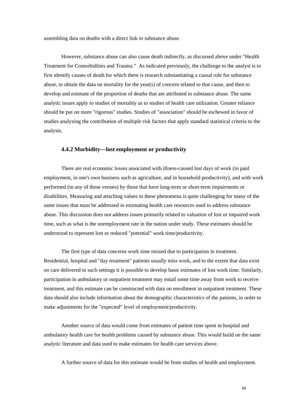assembling data on deaths with a direct link to substance abuse.

 However, substance abuse can also cause death indirectly, as discussed above under "Health Treatment for Comorbidities and Trauma." As indicated previously, the challenge to the analyst is to first identify causes of death for which there is research substantiating a causal role for substance abuse, to obtain the data on mortality for the year(s) of concern related to that cause, and then to develop and estimate of the proportion of deaths that are attributed to substance abuse. The same analytic issues apply to studies of mortality as to studies of health care utilization. Greater reliance should be put on more "rigorous" studies. Studies of "association" should be eschewed in favor of studies analyzing the contribution of multiple risk factors that apply standard statistical criteria to the analysis.

#### **4.4.2 Morbidity—lost employment or productivity**

 There are real economic losses associated with illness-caused lost days of work (in paid employment, in one's own business such as agriculture, and in household productivity), and with work performed (in any of these venues) by those that have long-term or short-term impairments or disabilities. Measuring and attaching values to these phenomena is quite challenging for many of the same issues that must be addressed in estimating health care resources used to address substance abuse. This discussion does not address issues primarily related to valuation of lost or impaired work time, such as what is the unemployment rate in the nation under study. These estimates should be understood to represent lost or reduced "potential" work time/productivity.

 The first type of data concerns work time missed due to participation in treatment. Residential, hospital and "day treatment" patients usually miss work, and to the extent that data exist on care delivered in such settings it is possible to develop basic estimates of lost work time. Similarly, participation in ambulatory or outpatient treatment may entail some time away from work to receive treatment, and this estimate can be constructed with data on enrollment in outpatient treatment. These data should also include information about the demographic characteristics of the patients, in order to make adjustments for the "expected" level of employment/productivity.

 Another source of data would come from estimates of patient time spent in hospital and ambulatory health care for health problems caused by substance abuse. This would build on the same analytic literature and data used to make estimates for health care services above.

A further source of data for this estimate would be from studies of health and employment.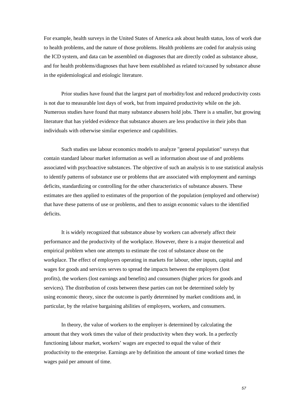For example, health surveys in the United States of America ask about health status, loss of work due to health problems, and the nature of those problems. Health problems are coded for analysis using the ICD system, and data can be assembled on diagnoses that are directly coded as substance abuse, and for health problems/diagnoses that have been established as related to/caused by substance abuse in the epidemiological and etiologic literature.

 Prior studies have found that the largest part of morbidity/lost and reduced productivity costs is not due to measurable lost days of work, but from impaired productivity while on the job. Numerous studies have found that many substance abusers hold jobs. There is a smaller, but growing literature that has yielded evidence that substance abusers are less productive in their jobs than individuals with otherwise similar experience and capabilities.

 Such studies use labour economics models to analyze "general population" surveys that contain standard labour market information as well as information about use of and problems associated with psychoactive substances. The objective of such an analysis is to use statistical analysis to identify patterns of substance use or problems that are associated with employment and earnings deficits, standardizing or controlling for the other characteristics of substance abusers. These estimates are then applied to estimates of the proportion of the population (employed and otherwise) that have these patterns of use or problems, and then to assign economic values to the identified deficits.

 It is widely recognized that substance abuse by workers can adversely affect their performance and the productivity of the workplace. However, there is a major theoretical and empirical problem when one attempts to estimate the cost of substance abuse on the workplace. The effect of employers operating in markets for labour, other inputs, capital and wages for goods and services serves to spread the impacts between the employers (lost profits), the workers (lost earnings and benefits) and consumers (higher prices for goods and services). The distribution of costs between these parties can not be determined solely by using economic theory, since the outcome is partly determined by market conditions and, in particular, by the relative bargaining abilities of employers, workers, and consumers.

 In theory, the value of workers to the employer is determined by calculating the amount that they work times the value of their productivity when they work. In a perfectly functioning labour market, workers' wages are expected to equal the value of their productivity to the enterprise. Earnings are by definition the amount of time worked times the wages paid per amount of time.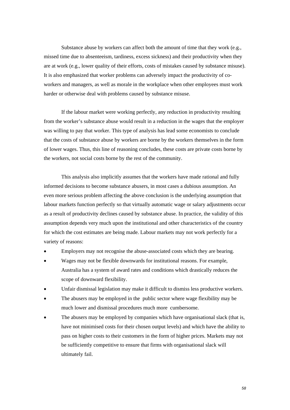Substance abuse by workers can affect both the amount of time that they work (e.g., missed time due to absenteeism, tardiness, excess sickness) and their productivity when they are at work (e.g., lower quality of their efforts, costs of mistakes caused by substance misuse). It is also emphasized that worker problems can adversely impact the productivity of coworkers and managers, as well as morale in the workplace when other employees must work harder or otherwise deal with problems caused by substance misuse.

 If the labour market were working perfectly, any reduction in productivity resulting from the worker's substance abuse would result in a reduction in the wages that the employer was willing to pay that worker. This type of analysis has lead some economists to conclude that the costs of substance abuse by workers are borne by the workers themselves in the form of lower wages. Thus, this line of reasoning concludes, these costs are private costs borne by the workers, not social costs borne by the rest of the community.

 This analysis also implicitly assumes that the workers have made rational and fully informed decisions to become substance abusers, in most cases a dubious assumption. An even more serious problem affecting the above conclusion is the underlying assumption that labour markets function perfectly so that virtually automatic wage or salary adjustments occur as a result of productivity declines caused by substance abuse. In practice, the validity of this assumption depends very much upon the institutional and other characteristics of the country for which the cost estimates are being made. Labour markets may not work perfectly for a variety of reasons:

- Employers may not recognise the abuse-associated costs which they are bearing.
- Wages may not be flexible downwards for institutional reasons. For example, Australia has a system of award rates and conditions which drastically reduces the scope of downward flexibility.
- Unfair dismissal legislation may make it difficult to dismiss less productive workers.
- The abusers may be employed in the public sector where wage flexibility may be much lower and dismissal procedures much more cumbersome.
- The abusers may be employed by companies which have organisational slack (that is, have not minimised costs for their chosen output levels) and which have the ability to pass on higher costs to their customers in the form of higher prices. Markets may not be sufficiently competitive to ensure that firms with organisational slack will ultimately fail.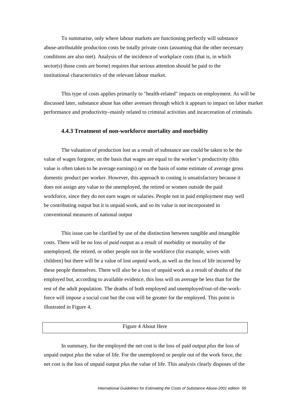To summarise, only where labour markets are functioning perfectly will substance abuse-attributable production costs be totally private costs (assuming that the other necessary conditions are also met). Analysis of the incidence of workplace costs (that is, in which sector(s) those costs are borne) requires that serious attention should be paid to the institutional characteristics of the relevant labour market.

 This type of costs applies primarily to "health-related" impacts on employment. As will be discussed later, substance abuse has other avenues through which it appears to impact on labor market performance and productivity–mainly related to criminal activities and incarceration of criminals.

#### **4.4.3 Treatment of non-workforce mortality and morbidity**

 The valuation of production lost as a result of substance use could be taken to be the value of wages forgone, on the basis that wages are equal to the worker's productivity (this value is often taken to be average earnings) or on the basis of some estimate of average gross domestic product per worker. However, this approach to costing is unsatisfactory because it does not assign any value to the unemployed, the retired or women outside the paid workforce, since they do not earn wages or salaries. People not in paid employment may well be contributing output but it is unpaid work, and so its value is not incorporated in conventional measures of national output

 This issue can be clarified by use of the distinction between tangible and intangible costs. There will be no loss of *paid* output as a result of morbidity or mortality of the unemployed, the retired, or other people not in the workforce (for example, wives with children) but there will be a value of lost *unpaid* work, as well as the loss of life incurred by these people themselves. There will also be a loss of unpaid work as a result of deaths of the employed but, according to available evidence, this loss will on average be less than for the rest of the adult population. The deaths of both employed and unemployed/out-of-the-workforce will impose a social cost but the cost will be greater for the employed. This point is illustrated in Figure 4.

#### Figure 4 About Here

 In summary, for the employed the net cost is the loss of paid output *plus* the loss of unpaid output *plus* the value of life. For the unemployed or people out of the work force, the net cost is the loss of unpaid output *plus* the value of life. This analysis clearly disposes of the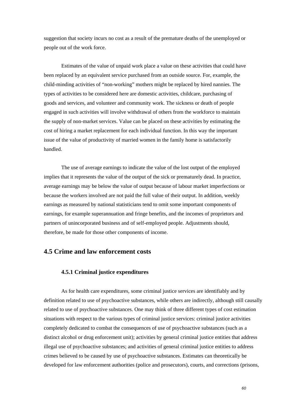suggestion that society incurs no cost as a result of the premature deaths of the unemployed or people out of the work force.

 Estimates of the value of unpaid work place a value on these activities that could have been replaced by an equivalent service purchased from an outside source. For, example, the child-minding activities of "non-working" mothers might be replaced by hired nannies. The types of activities to be considered here are domestic activities, childcare, purchasing of goods and services, and volunteer and community work. The sickness or death of people engaged in such activities will involve withdrawal of others from the workforce to maintain the supply of non-market services. Value can be placed on these activities by estimating the cost of hiring a market replacement for each individual function. In this way the important issue of the value of productivity of married women in the family home is satisfactorily handled.

 The use of average earnings to indicate the value of the lost output of the employed implies that it represents the value of the output of the sick or prematurely dead. In practice, average earnings may be below the value of output because of labour market imperfections or because the workers involved are not paid the full value of their output. In addition, weekly earnings as measured by national statisticians tend to omit some important components of earnings, for example superannuation and fringe benefits, and the incomes of proprietors and partners of unincorporated business and of self-employed people. Adjustments should, therefore, be made for those other components of income.

# **4.5 Crime and law enforcement costs**

### **4.5.1 Criminal justice expenditures**

As for health care expenditures, some criminal justice services are identifiably and by definition related to use of psychoactive substances, while others are indirectly, although still causally related to use of psychoactive substances. One may think of three different types of cost estimation situations with respect to the various types of criminal justice services: criminal justice activities completely dedicated to combat the consequences of use of psychoactive substances (such as a distinct alcohol or drug enforcement unit); activities by general criminal justice entities that address illegal use of psychoactive substances; and activities of general criminal justice entities to address crimes believed to be caused by use of psychoactive substances. Estimates can theoretically be developed for law enforcement authorities (police and prosecutors), courts, and corrections (prisons,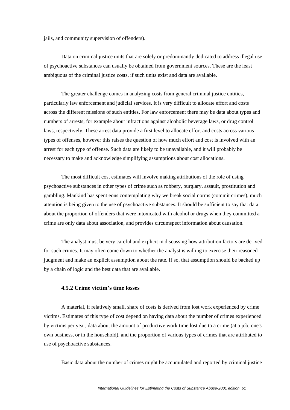jails, and community supervision of offenders).

 Data on criminal justice units that are solely or predominantly dedicated to address illegal use of psychoactive substances can usually be obtained from government sources. These are the least ambiguous of the criminal justice costs, if such units exist and data are available.

 The greater challenge comes in analyzing costs from general criminal justice entities, particularly law enforcement and judicial services. It is very difficult to allocate effort and costs across the different missions of such entities. For law enforcement there may be data about types and numbers of arrests, for example about infractions against alcoholic beverage laws, or drug control laws, respectively. These arrest data provide a first level to allocate effort and costs across various types of offenses, however this raises the question of how much effort and cost is involved with an arrest for each type of offense. Such data are likely to be unavailable, and it will probably be necessary to make and acknowledge simplifying assumptions about cost allocations.

 The most difficult cost estimates will involve making attributions of the role of using psychoactive substances in other types of crime such as robbery, burglary, assault, prostitution and gambling. Mankind has spent eons contemplating why we break social norms (commit crimes), much attention is being given to the use of psychoactive substances. It should be sufficient to say that data about the proportion of offenders that were intoxicated with alcohol or drugs when they committed a crime are only data about association, and provides circumspect information about causation.

 The analyst must be very careful and explicit in discussing how attribution factors are derived for such crimes. It may often come down to whether the analyst is willing to exercise their reasoned judgment and make an explicit assumption about the rate. If so, that assumption should be backed up by a chain of logic and the best data that are available.

### **4.5.2 Crime victim's time losses**

 A material, if relatively small, share of costs is derived from lost work experienced by crime victims. Estimates of this type of cost depend on having data about the number of crimes experienced by victims per year, data about the amount of productive work time lost due to a crime (at a job, one's own business, or in the household), and the proportion of various types of crimes that are attributed to use of psychoactive substances.

Basic data about the number of crimes might be accumulated and reported by criminal justice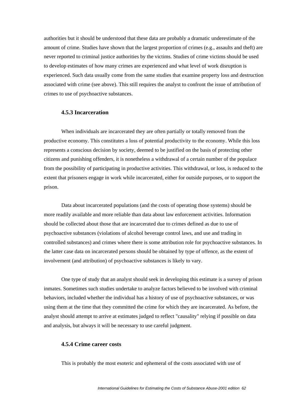authorities but it should be understood that these data are probably a dramatic underestimate of the amount of crime. Studies have shown that the largest proportion of crimes (e.g., assaults and theft) are never reported to criminal justice authorities by the victims. Studies of crime victims should be used to develop estimates of how many crimes are experienced and what level of work disruption is experienced. Such data usually come from the same studies that examine property loss and destruction associated with crime (see above). This still requires the analyst to confront the issue of attribution of crimes to use of psychoactive substances.

### **4.5.3 Incarceration**

 When individuals are incarcerated they are often partially or totally removed from the productive economy. This constitutes a loss of potential productivity to the economy. While this loss represents a conscious decision by society, deemed to be justified on the basis of protecting other citizens and punishing offenders, it is nonetheless a withdrawal of a certain number of the populace from the possibility of participating in productive activities. This withdrawal, or loss, is reduced to the extent that prisoners engage in work while incarcerated, either for outside purposes, or to support the prison.

 Data about incarcerated populations (and the costs of operating those systems) should be more readily available and more reliable than data about law enforcement activities. Information should be collected about those that are incarcerated due to crimes defined as due to use of psychoactive substances (violations of alcohol beverage control laws, and use and trading in controlled substances) and crimes where there is some attribution role for psychoactive substances. In the latter case data on incarcerated persons should be obtained by type of offence, as the extent of involvement (and attribution) of psychoactive substances is likely to vary.

 One type of study that an analyst should seek in developing this estimate is a survey of prison inmates. Sometimes such studies undertake to analyze factors believed to be involved with criminal behaviors, included whether the individual has a history of use of psychoactive substances, or was using them at the time that they committed the crime for which they are incarcerated. As before, the analyst should attempt to arrive at estimates judged to reflect "causality" relying if possible on data and analysis, but always it will be necessary to use careful judgment.

#### **4.5.4 Crime career costs**

This is probably the most esoteric and ephemeral of the costs associated with use of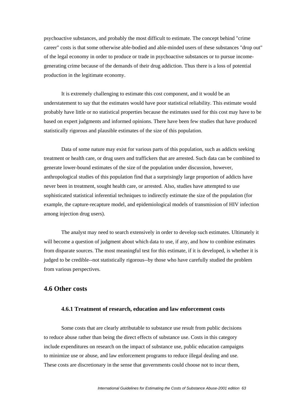psychoactive substances, and probably the most difficult to estimate. The concept behind "crime career" costs is that some otherwise able-bodied and able-minded users of these substances "drop out" of the legal economy in order to produce or trade in psychoactive substances or to pursue incomegenerating crime because of the demands of their drug addiction. Thus there is a loss of potential production in the legitimate economy.

 It is extremely challenging to estimate this cost component, and it would be an understatement to say that the estimates would have poor statistical reliability. This estimate would probably have little or no statistical properties because the estimates used for this cost may have to be based on expert judgments and informed opinions. There have been few studies that have produced statistically rigorous and plausible estimates of the size of this population.

 Data of some nature may exist for various parts of this population, such as addicts seeking treatment or health care, or drug users and traffickers that are arrested. Such data can be combined to generate lower-bound estimates of the size of the population under discussion, however, anthropological studies of this population find that a surprisingly large proportion of addicts have never been in treatment, sought health care, or arrested. Also, studies have attempted to use sophisticated statistical inferential techniques to indirectly estimate the size of the population (for example, the capture-recapture model, and epidemiological models of transmission of HIV infection among injection drug users).

 The analyst may need to search extensively in order to develop such estimates. Ultimately it will become a question of judgment about which data to use, if any, and how to combine estimates from disparate sources. The most meaningful test for this estimate, if it is developed, is whether it is judged to be credible--not statistically rigorous--by those who have carefully studied the problem from various perspectives.

### **4.6 Other costs**

### **4.6.1 Treatment of research, education and law enforcement costs**

Some costs that are clearly attributable to substance use result from public decisions to reduce abuse rather than being the direct effects of substance use. Costs in this category include expenditures on research on the impact of substance use, public education campaigns to minimize use or abuse, and law enforcement programs to reduce illegal dealing and use. These costs are discretionary in the sense that governments could choose not to incur them,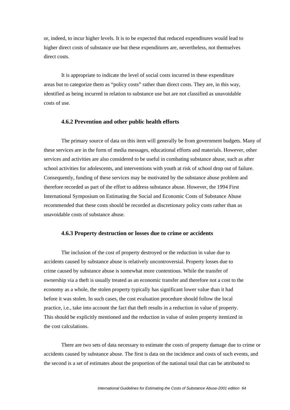or, indeed, to incur higher levels. It is to be expected that reduced expenditures would lead to higher direct costs of substance use but these expenditures are, nevertheless, not themselves direct costs.

 It is appropriate to indicate the level of social costs incurred in these expenditure areas but to categorize them as "policy costs" rather than direct costs. They are, in this way, identified as being incurred in relation to substance use but are not classified as unavoidable costs of use.

#### **4.6.2 Prevention and other public health efforts**

The primary source of data on this item will generally be from government budgets. Many of these services are in the form of media messages, educational efforts and materials. However, other services and activities are also considered to be useful in combating substance abuse, such as after school activities for adolescents, and interventions with youth at risk of school drop out of failure. Consequently, funding of these services may be motivated by the substance abuse problem and therefore recorded as part of the effort to address substance abuse. However, the 1994 First International Symposium on Estimating the Social and Economic Costs of Substance Abuse recommended that these costs should be recorded as discretionary policy costs rather than as unavoidable costs of substance abuse.

#### **4.6.3 Property destruction or losses due to crime or accidents**

The inclusion of the cost of property destroyed or the reduction in value due to accidents caused by substance abuse is relatively uncontroversial. Property losses due to crime caused by substance abuse is somewhat more contentious. While the transfer of ownership via a theft is usually treated as an economic transfer and therefore not a cost to the economy as a whole, the stolen property typically has significant lower value than it had before it was stolen. In such cases, the cost evaluation procedure should follow the local practice, i.e., take into account the fact that theft results in a reduction in value of property. This should be explicitly mentioned and the reduction in value of stolen property itemized in the cost calculations.

 There are two sets of data necessary to estimate the costs of property damage due to crime or accidents caused by substance abuse. The first is data on the incidence and costs of such events, and the second is a set of estimates about the proportion of the national total that can be attributed to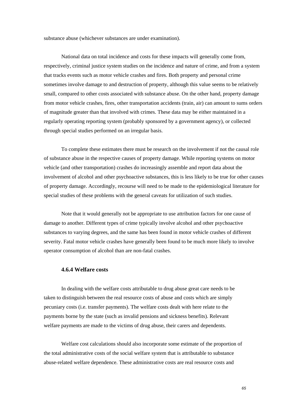substance abuse (whichever substances are under examination).

 National data on total incidence and costs for these impacts will generally come from, respectively, criminal justice system studies on the incidence and nature of crime, and from a system that tracks events such as motor vehicle crashes and fires. Both property and personal crime sometimes involve damage to and destruction of property, although this value seems to be relatively small, compared to other costs associated with substance abuse. On the other hand, property damage from motor vehicle crashes, fires, other transportation accidents (train, air) can amount to sums orders of magnitude greater than that involved with crimes. These data may be either maintained in a regularly operating reporting system (probably sponsored by a government agency), or collected through special studies performed on an irregular basis.

 To complete these estimates there must be research on the involvement if not the causal role of substance abuse in the respective causes of property damage. While reporting systems on motor vehicle (and other transportation) crashes do increasingly assemble and report data about the involvement of alcohol and other psychoactive substances, this is less likely to be true for other causes of property damage. Accordingly, recourse will need to be made to the epidemiological literature for special studies of these problems with the general caveats for utilization of such studies.

 Note that it would generally not be appropriate to use attribution factors for one cause of damage to another. Different types of crime typically involve alcohol and other psychoactive substances to varying degrees, and the same has been found in motor vehicle crashes of different severity. Fatal motor vehicle crashes have generally been found to be much more likely to involve operator consumption of alcohol than are non-fatal crashes.

### **4.6.4 Welfare costs**

In dealing with the welfare costs attributable to drug abuse great care needs to be taken to distinguish between the real resource costs of abuse and costs which are simply pecuniary costs (i.e. transfer payments). The welfare costs dealt with here relate to the payments borne by the state (such as invalid pensions and sickness benefits). Relevant welfare payments are made to the victims of drug abuse, their carers and dependents.

 Welfare cost calculations should also incorporate some estimate of the proportion of the total administrative costs of the social welfare system that is attributable to substance abuse-related welfare dependence. These administrative costs are real resource costs and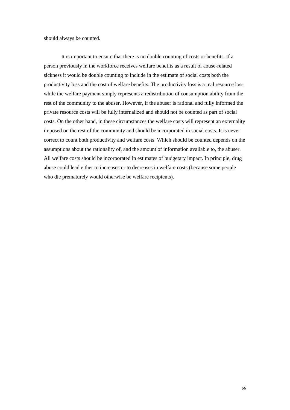should always be counted.

 It is important to ensure that there is no double counting of costs or benefits. If a person previously in the workforce receives welfare benefits as a result of abuse-related sickness it would be double counting to include in the estimate of social costs both the productivity loss and the cost of welfare benefits. The productivity loss is a real resource loss while the welfare payment simply represents a redistribution of consumption ability from the rest of the community to the abuser. However, if the abuser is rational and fully informed the private resource costs will be fully internalized and should not be counted as part of social costs. On the other hand, in these circumstances the welfare costs will represent an externality imposed on the rest of the community and should be incorporated in social costs. It is never correct to count both productivity and welfare costs. Which should be counted depends on the assumptions about the rationality of, and the amount of information available to, the abuser. All welfare costs should be incorporated in estimates of budgetary impact. In principle, drug abuse could lead either to increases or to decreases in welfare costs (because some people who die prematurely would otherwise be welfare recipients).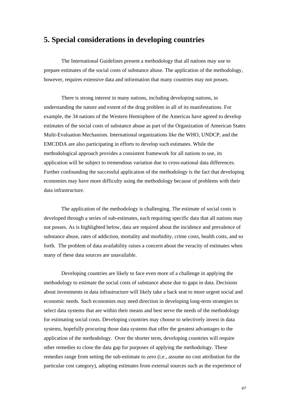# **5. Special considerations in developing countries**

The International Guidelines present a methodology that all nations may use to prepare estimates of the social costs of substance abuse. The application of the methodology, however, requires extensive data and information that many countries may not posses.

There is strong interest in many nations, including developing nations, in understanding the nature and extent of the drug problem in all of its manifestations. For example, the 34 nations of the Western Hemisphere of the Americas have agreed to develop estimates of the social costs of substance abuse as part of the Organization of American States Multi-Evaluation Mechanism. International organizations like the WHO, UNDCP, and the EMCDDA are also participating in efforts to develop such estimates. While the methodological approach provides a consistent framework for all nations to use, its application will be subject to tremendous variation due to cross-national data differences. Further confounding the successful application of the methodology is the fact that developing economies may have more difficulty using the methodology because of problems with their data infrastructure.

The application of the methodology is challenging. The estimate of social costs is developed through a series of sub-estimates, each requiring specific data that all nations may not posses. As is highlighted below, data are required about the incidence and prevalence of substance abuse, rates of addiction, mortality and morbidity, crime costs, health costs, and so forth. The problem of data availability raises a concern about the veracity of estimates when many of these data sources are unavailable.

Developing countries are likely to face even more of a challenge in applying the methodology to estimate the social costs of substance abuse due to gaps in data. Decisions about investments in data infrastructure will likely take a back seat to more urgent social and economic needs. Such economies may need direction in developing long-term strategies to select data systems that are within their means and best serve the needs of the methodology for estimating social costs. Developing countries may choose to selectively invest in data systems, hopefully procuring those data systems that offer the greatest advantages to the application of the methodology. Over the shorter term, developing countries will require other remedies to close the data gap for purposes of applying the methodology. These remedies range from setting the sub-estimate to zero (i.e., assume no cost attribution for the particular cost category), adopting estimates from external sources such as the experience of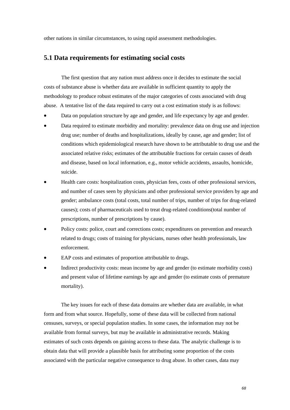other nations in similar circumstances, to using rapid assessment methodologies.

### **5.1 Data requirements for estimating social costs**

 The first question that any nation must address once it decides to estimate the social costs of substance abuse is whether data are available in sufficient quantity to apply the methodology to produce robust estimates of the major categories of costs associated with drug abuse. A tentative list of the data required to carry out a cost estimation study is as follows:

- Data on population structure by age and gender, and life expectancy by age and gender.
- Data required to estimate morbidity and mortality: prevalence data on drug use and injection drug use; number of deaths and hospitalizations, ideally by cause, age and gender; list of conditions which epidemiological research have shown to be attributable to drug use and the associated relative risks; estimates of the attributable fractions for certain causes of death and disease, based on local information, e.g., motor vehicle accidents, assaults, homicide, suicide.
- Health care costs: hospitalization costs, physician fees, costs of other professional services, and number of cases seen by physicians and other professional service providers by age and gender; ambulance costs (total costs, total number of trips, number of trips for drug-related causes); costs of pharmaceuticals used to treat drug-related conditions(total number of prescriptions, number of prescriptions by cause).
- Policy costs: police, court and corrections costs; expenditures on prevention and research related to drugs; costs of training for physicians, nurses other health professionals, law enforcement.
- EAP costs and estimates of proportion attributable to drugs.
- Indirect productivity costs: mean income by age and gender (to estimate morbidity costs) and present value of lifetime earnings by age and gender (to estimate costs of premature mortality).

The key issues for each of these data domains are whether data are available, in what form and from what source. Hopefully, some of these data will be collected from national censuses, surveys, or special population studies. In some cases, the information may not be available from formal surveys, but may be available in administrative records. Making estimates of such costs depends on gaining access to these data. The analytic challenge is to obtain data that will provide a plausible basis for attributing some proportion of the costs associated with the particular negative consequence to drug abuse. In other cases, data may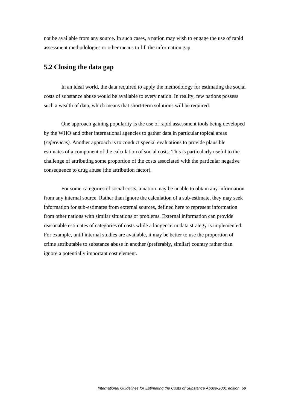not be available from any source. In such cases, a nation may wish to engage the use of rapid assessment methodologies or other means to fill the information gap.

## **5.2 Closing the data gap**

 In an ideal world, the data required to apply the methodology for estimating the social costs of substance abuse would be available to every nation. In reality, few nations possess such a wealth of data, which means that short-term solutions will be required.

 One approach gaining popularity is the use of rapid assessment tools being developed by the WHO and other international agencies to gather data in particular topical areas (*references).* Another approach is to conduct special evaluations to provide plausible estimates of a component of the calculation of social costs. This is particularly useful to the challenge of attributing some proportion of the costs associated with the particular negative consequence to drug abuse (the attribution factor).

 For some categories of social costs, a nation may be unable to obtain any information from any internal source. Rather than ignore the calculation of a sub-estimate, they may seek information for sub-estimates from external sources, defined here to represent information from other nations with similar situations or problems. External information can provide reasonable estimates of categories of costs while a longer-term data strategy is implemented. For example, until internal studies are available, it may be better to use the proportion of crime attributable to substance abuse in another (preferably, similar) country rather than ignore a potentially important cost element.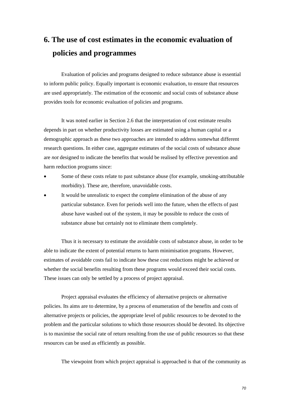# **6. The use of cost estimates in the economic evaluation of policies and programmes**

 Evaluation of policies and programs designed to reduce substance abuse is essential to inform public policy. Equally important is economic evaluation, to ensure that resources are used appropriately. The estimation of the economic and social costs of substance abuse provides tools for economic evaluation of policies and programs.

 It was noted earlier in Section 2.6 that the interpretation of cost estimate results depends in part on whether productivity losses are estimated using a human capital or a demographic approach as these two approaches are intended to address somewhat different research questions. In either case, aggregate estimates of the social costs of substance abuse are *not* designed to indicate the benefits that would be realised by effective prevention and harm reduction programs since:

- Some of these costs relate to past substance abuse (for example, smoking-attributable morbidity). These are, therefore, unavoidable costs.
- It would be unrealistic to expect the complete elimination of the abuse of any particular substance. Even for periods well into the future, when the effects of past abuse have washed out of the system, it may be possible to reduce the costs of substance abuse but certainly not to eliminate them completely.

 Thus it is necessary to estimate the avoidable costs of substance abuse, in order to be able to indicate the extent of potential returns to harm minimisation programs. However, estimates of avoidable costs fail to indicate how these cost reductions might be achieved or whether the social benefits resulting from these programs would exceed their social costs. These issues can only be settled by a process of project appraisal.

 Project appraisal evaluates the efficiency of alternative projects or alternative policies. Its aims are to determine, by a process of enumeration of the benefits and costs of alternative projects or policies, the appropriate level of public resources to be devoted to the problem and the particular solutions to which those resources should be devoted. Its objective is to maximise the social rate of return resulting from the use of public resources so that these resources can be used as efficiently as possible.

The viewpoint from which project appraisal is approached is that of the community as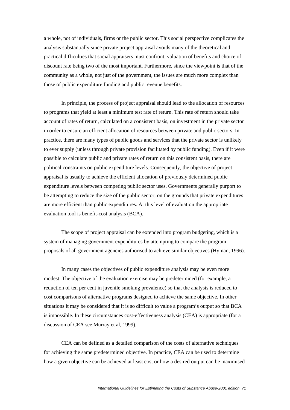a whole, not of individuals, firms or the public sector. This social perspective complicates the analysis substantially since private project appraisal avoids many of the theoretical and practical difficulties that social appraisers must confront, valuation of benefits and choice of discount rate being two of the most important. Furthermore, since the viewpoint is that of the community as a whole, not just of the government, the issues are much more complex than those of public expenditure funding and public revenue benefits.

 In principle, the process of project appraisal should lead to the allocation of resources to programs that yield at least a minimum test rate of return. This rate of return should take account of rates of return, calculated on a consistent basis, on investment in the private sector in order to ensure an efficient allocation of resources between private and public sectors. In practice, there are many types of public goods and services that the private sector is unlikely to ever supply (unless through private provision facilitated by public funding). Even if it were possible to calculate public and private rates of return on this consistent basis, there are political constraints on public expenditure levels. Consequently, the objective of project appraisal is usually to achieve the efficient allocation of previously determined public expenditure levels between competing public sector uses. Governments generally purport to be attempting to reduce the size of the public sector, on the grounds that private expenditures are more efficient than public expenditures. At this level of evaluation the appropriate evaluation tool is benefit-cost analysis (BCA).

 The scope of project appraisal can be extended into program budgeting, which is a system of managing government expenditures by attempting to compare the program proposals of all government agencies authorised to achieve similar objectives (Hyman, 1996).

 In many cases the objectives of public expenditure analysis may be even more modest. The objective of the evaluation exercise may be predetermined (for example, a reduction of ten per cent in juvenile smoking prevalence) so that the analysis is reduced to cost comparisons of alternative programs designed to achieve the same objective. In other situations it may be considered that it is so difficult to value a program's output so that BCA is impossible. In these circumstances cost-effectiveness analysis (CEA) is appropriate (for a discussion of CEA see Murray et al, 1999).

 CEA can be defined as a detailed comparison of the costs of alternative techniques for achieving the same predetermined objective. In practice, CEA can be used to determine how a given objective can be achieved at least cost or how a desired output can be maximised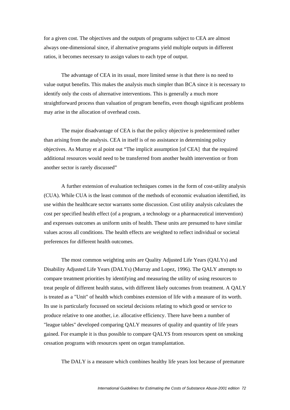for a given cost. The objectives and the outputs of programs subject to CEA are almost always one-dimensional since, if alternative programs yield multiple outputs in different ratios, it becomes necessary to assign values to each type of output.

 The advantage of CEA in its usual, more limited sense is that there is no need to value output benefits. This makes the analysis much simpler than BCA since it is necessary to identify only the costs of alternative interventions. This is generally a much more straightforward process than valuation of program benefits, even though significant problems may arise in the allocation of overhead costs.

 The major disadvantage of CEA is that the policy objective is predetermined rather than arising from the analysis. CEA in itself is of no assistance in determining policy objectives. As Murray et al point out "The implicit assumption [of CEA] that the required additional resources would need to be transferred from another health intervention or from another sector is rarely discussed"

 A further extension of evaluation techniques comes in the form of cost-utility analysis (CUA). While CUA is the least common of the methods of economic evaluation identified, its use within the healthcare sector warrants some discussion. Cost utility analysis calculates the cost per specified health effect (of a program, a technology or a pharmaceutical intervention) and expresses outcomes as uniform units of health. These units are presumed to have similar values across all conditions. The health effects are weighted to reflect individual or societal preferences for different health outcomes.

 The most common weighting units are Quality Adjusted Life Years (QALYs) and Disability Adjusted Life Years (DALYs) (Murray and Lopez, 1996). The QALY attempts to compare treatment priorities by identifying and measuring the utility of using resources to treat people of different health status, with different likely outcomes from treatment. A QALY is treated as a "Unit" of health which combines extension of life with a measure of its worth. Its use is particularly focussed on societal decisions relating to which good or service to produce relative to one another, i.e. allocative efficiency. There have been a number of "league tables" developed comparing QALY measures of quality and quantity of life years gained. For example it is thus possible to compare QALYS from resources spent on smoking cessation programs with resources spent on organ transplantation.

The DALY is a measure which combines healthy life years lost because of premature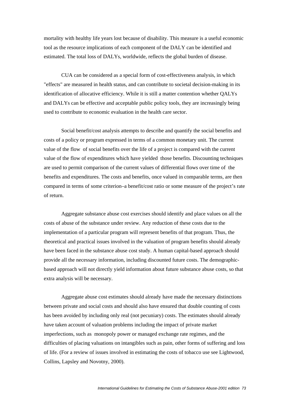mortality with healthy life years lost because of disability. This measure is a useful economic tool as the resource implications of each component of the DALY can be identified and estimated. The total loss of DALYs, worldwide, reflects the global burden of disease.

 CUA can be considered as a special form of cost-effectiveness analysis, in which "effects" are measured in health status, and can contribute to societal decision-making in its identification of allocative efficiency. While it is still a matter contention whether QALYs and DALYs can be effective and acceptable public policy tools, they are increasingly being used to contribute to economic evaluation in the health care sector.

 Social benefit/cost analysis attempts to describe and quantify the social benefits and costs of a policy or program expressed in terms of a common monetary unit. The current value of the flow of social benefits over the life of a project is compared with the current value of the flow of expenditures which have yielded those benefits. Discounting techniques are used to permit comparison of the current values of differential flows over time of the benefits and expenditures. The costs and benefits, once valued in comparable terms, are then compared in terms of some criterion–a benefit/cost ratio or some measure of the project's rate of return.

 Aggregate substance abuse cost exercises should identify and place values on all the costs of abuse of the substance under review. Any reduction of these costs due to the implementation of a particular program will represent benefits of that program. Thus, the theoretical and practical issues involved in the valuation of program benefits should already have been faced in the substance abuse cost study. A human capital-based approach should provide all the necessary information, including discounted future costs. The demographicbased approach will not directly yield information about future substance abuse costs, so that extra analysis will be necessary.

 Aggregate abuse cost estimates should already have made the necessary distinctions between private and social costs and should also have ensured that double counting of costs has been avoided by including only real (not pecuniary) costs. The estimates should already have taken account of valuation problems including the impact of private market imperfections, such as monopoly power or managed exchange rate regimes, and the difficulties of placing valuations on intangibles such as pain, other forms of suffering and loss of life. (For a review of issues involved in estimating the costs of tobacco use see Lightwood, Collins, Lapsley and Novotny, 2000).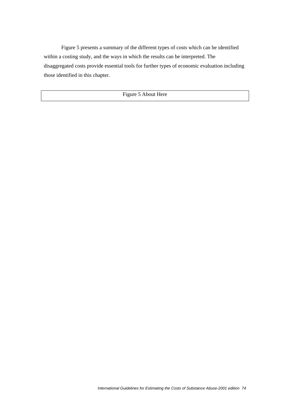Figure 5 presents a summary of the different types of costs which can be identified within a costing study, and the ways in which the results can be interpreted. The disaggregated costs provide essential tools for further types of economic evaluation including those identified in this chapter.

Figure 5 About Here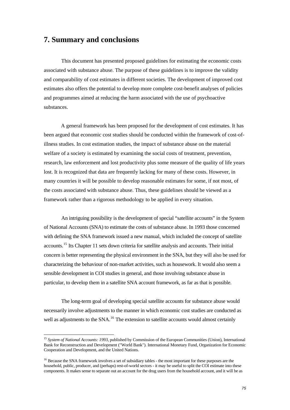### <span id="page-74-0"></span>**7. Summary and conclusions**

 This document has presented proposed guidelines for estimating the economic costs associated with substance abuse. The purpose of these guidelines is to improve the validity and comparability of cost estimates in different societies. The development of improved cost estimates also offers the potential to develop more complete cost-benefit analyses of policies and programmes aimed at reducing the harm associated with the use of psychoactive substances.

 A general framework has been proposed for the development of cost estimates. It has been argued that economic cost studies should be conducted within the framework of cost-ofillness studies. In cost estimation studies, the impact of substance abuse on the material welfare of a society is estimated by examining the social costs of treatment, prevention, research, law enforcement and lost productivity plus some measure of the quality of life years lost. It is recognized that data are frequently lacking for many of these costs. However, in many countries it will be possible to develop reasonable estimates for some, if not most, of the costs associated with substance abuse. Thus, these guidelines should be viewed as a framework rather than a rigorous methodology to be applied in every situation.

 An intriguing possibility is the development of special "satellite accounts" in the System of National Accounts (SNA) to estimate the costs of substance abuse. In 1993 those concerned with defining the SNA framework issued a new manual, which included the concept of satellite accounts.[15](#page-74-0) Its Chapter 11 sets down criteria for satellite analysis and accounts. Their initial concern is better representing the physical environment in the SNA, but they will also be used for characterizing the behaviour of non-market activities, such as housework. It would also seem a sensible development in COI studies in general, and those involving substance abuse in particular, to develop them in a satellite SNA account framework, as far as that is possible.

 The long-term goal of developing special satellite accounts for substance abuse would necessarily involve adjustments to the manner in which economic cost studies are conducted as well as adjustments to the SNA.<sup>[16](#page-74-0)</sup> The extension to satellite accounts would almost certainly

1

<sup>15</sup> *System of National Accounts: 1993*, published by Commission of the European Communities (Union), International Bank for Reconstruction and Development ("World Bank"). International Monetary Fund, Organization for Economic Cooperation and Development, and the United Nations.

<sup>&</sup>lt;sup>16</sup> Because the SNA framework involves a set of subsidiary tables - the most important for these purposes are the household, public, producer, and (perhaps) rest-of-world sectors - it may be useful to split the COI estimate into these components. It makes sense to separate out an account for the drug users from the household account, and it will be as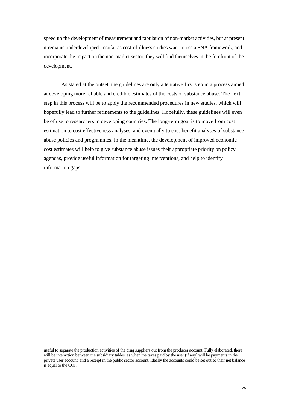speed up the development of measurement and tabulation of non-market activities, but at present it remains underdeveloped. Insofar as cost-of-illness studies want to use a SNA framework, and incorporate the impact on the non-market sector, they will find themselves in the forefront of the development.

 As stated at the outset, the guidelines are only a tentative first step in a process aimed at developing more reliable and credible estimates of the costs of substance abuse. The next step in this process will be to apply the recommended procedures in new studies, which will hopefully lead to further refinements to the guidelines. Hopefully, these guidelines will even be of use to researchers in developing countries. The long-term goal is to move from cost estimation to cost effectiveness analyses, and eventually to cost-benefit analyses of substance abuse policies and programmes. In the meantime, the development of improved economic cost estimates will help to give substance abuse issues their appropriate priority on policy agendas, provide useful information for targeting interventions, and help to identify information gaps.

useful to separate the production activities of the drug suppliers out from the producer account. Fully elaborated, there will be interaction between the subsidiary tables, as when the taxes paid by the user (if any) will be payments in the private user account, and a receipt in the public sector account. Ideally the accounts could be set out so their net balance is equal to the COI.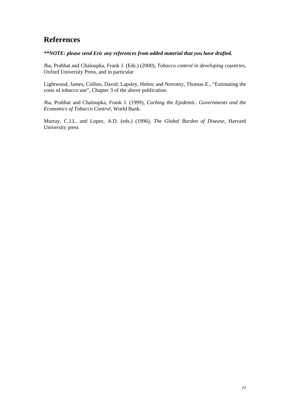### **References**

### *\*\*NOTE: please send Eric any references from added material that you have drafted.*

Jha, Prabhat and Chaloupka, Frank J. (Eds.) (2000), *Tobacco control in developing countrie*s, Oxford University Press, and in particular

Lightwood, James; Collins, David; Lapsley, Helen; and Novotny, Thomas E., "Estimating the costs of tobacco use", Chapter 3 of the above publication.

Jha, Prabhat and Chaloupka, Frank J. (1999), *Curbing the Epidemic. Governments and the Economics of Tobacco Control*, World Bank.

Murray, C.J.L. and Lopez, A.D. (eds.) (1996), *The Global Burden of Disease*, Harvard University press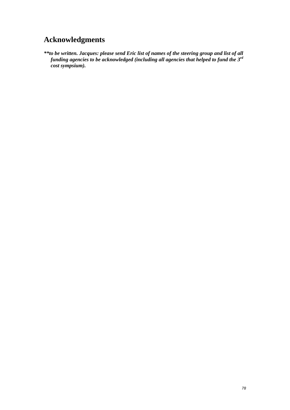# **Acknowledgments**

*\*\*to be written. Jacques: please send Eric list of names of the steering group and list of all funding agencies to be acknowledged (including all agencies that helped to fund the 3rd cost sympsium).*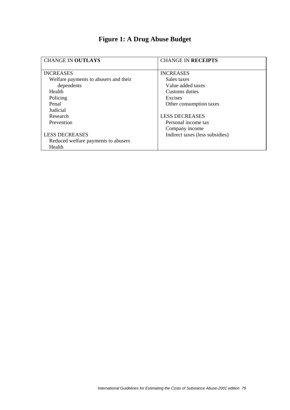| <b>CHANGE IN OUTLAYS</b>              | <b>CHANGE IN RECEIPTS</b>       |
|---------------------------------------|---------------------------------|
| <b>INCREASES</b>                      | <b>INCREASES</b>                |
| Welfare payments to abusers and their | Sales taxes                     |
| dependents                            | Value added taxes               |
| Health                                | Customs duties                  |
| Policing                              | Excises                         |
| Penal                                 | Other consumption taxes         |
| Judicial                              |                                 |
| Research                              | <b>LESS DECREASES</b>           |
| Prevention                            | Personal income tax             |
|                                       | Company income                  |
| <b>LESS DECREASES</b>                 | Indirect taxes (less subsidies) |
| Reduced welfare payments to abusers   |                                 |
| Health                                |                                 |

# **Figure 1: A Drug Abuse Budget**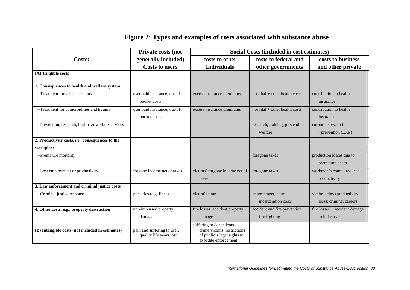# **Figure 2: Types and examples of costs associated with substance abuse**

|                                                   | <b>Private costs (not</b>                              | <b>Social Costs (included in cost estimates)</b>                                                                |                                 |                               |
|---------------------------------------------------|--------------------------------------------------------|-----------------------------------------------------------------------------------------------------------------|---------------------------------|-------------------------------|
| Costs:                                            | generally included)                                    | costs to other                                                                                                  | costs to federal and            | costs to business             |
|                                                   | <b>Costs to users</b>                                  | <b>Individuals</b>                                                                                              | other governments               | and other private             |
| (A) Tangible costs                                |                                                        |                                                                                                                 |                                 |                               |
| 1. Consequences to health and welfare system      |                                                        |                                                                                                                 |                                 |                               |
| --Treatment for substance abuse                   | user paid insurance; out-of-                           | excess insurance premiums                                                                                       | hospital $+$ other health costs | contribution to health        |
|                                                   | pocket costs                                           |                                                                                                                 |                                 | insurance                     |
| --Treatment for comorbidities and trauma          | user paid insurance; out-of-                           | excess insurance premiums                                                                                       | hospital $+$ other health costs | contribution to health        |
|                                                   | pocket costs                                           |                                                                                                                 |                                 | insurance                     |
| --Prevention, research, health & welfare services |                                                        |                                                                                                                 | research, training, prevention, | corporate research            |
|                                                   |                                                        |                                                                                                                 | welfare                         | +prevention (EAP)             |
| 2. Productivity costs, i.e., consequences to the  |                                                        |                                                                                                                 |                                 |                               |
| workplace                                         |                                                        |                                                                                                                 |                                 |                               |
| --Premature mortality                             |                                                        |                                                                                                                 | foregone taxes                  | production losses due to      |
|                                                   |                                                        |                                                                                                                 |                                 | premature death               |
| --Lost employment or productivity                 | forgone income net of taxes                            | victims' forgone income net of                                                                                  | foregone taxes                  | workman's comp., reduced      |
|                                                   |                                                        | taxes                                                                                                           |                                 | productivity                  |
| 3. Law enforcement and criminal justice costs     |                                                        |                                                                                                                 |                                 |                               |
| --Criminal justice response                       | penalties (e.g. fines)                                 | victim's time                                                                                                   | enforcement, court +            | victim's time(productivity    |
|                                                   |                                                        |                                                                                                                 | incarceration costs             | loss); criminal careers       |
| 4. Other costs, e.g., property destruction        | unreimbursed property                                  | fire losses, accident property                                                                                  | accident and fire prevention,   | fire losses + accident damage |
|                                                   | damage                                                 | damage                                                                                                          | fire fighting                   | to industry                   |
| (B) Intangible costs (not included in estimates)  | pain and suffering to user,<br>quality life years lost | suffering to dependents +<br>crime victims, restrictions<br>of public's legal rights to<br>expedite enforcement |                                 |                               |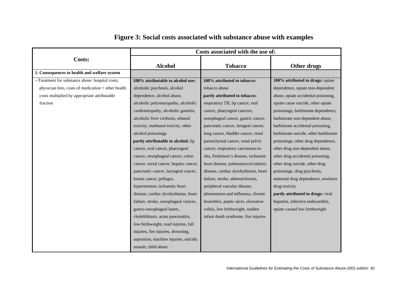|                                                    | Costs associated with the use of:      |                                      |                                        |
|----------------------------------------------------|----------------------------------------|--------------------------------------|----------------------------------------|
| <b>Costs:</b>                                      | <b>Alcohol</b>                         | <b>Tobacco</b>                       | Other drugs                            |
| 1. Consequences to health and welfare system       |                                        |                                      |                                        |
| --Treatment for substance abuse: hospital costs,   | 100% attributable to alcohol use:      | 100% attributed to tobacco:          | 100% attributed to drugs: opiate       |
| physician fees, costs of medication + other health | alcoholic psychosis, alcohol           | tobacco abuse                        | dependence, opiate non-dependent       |
| costs multiplied by appropriate attributable       | dependence, alcohol abuse,             | partly attributed to tobacco:        | abuse, opiate accidental poisoning,    |
| fraction                                           | alcoholic polyneuropathy, alcoholic    | respiratory TB, lip cancer, oral     | opiate cause suicide, other opiate     |
|                                                    | cardiomiopathy, alcoholic gastritis,   | cancer, pharyngeal cancern,          | poisonings, barbiturate dependence,    |
|                                                    | alcoholic liver cirrhosis, ethanol     | oesophageal cancer, gastric cancer,  | barbiturate non-dependent abuse,       |
|                                                    | toxicity, methanol toxicity, other     | pancreatic cancer, larngeal cancer,  | barbiturate accidental poisoning,      |
|                                                    | alcohol poisonings                     | lung cancer, bladder cancer, renal   | barbiturate suicide, other barbiturate |
|                                                    | partly attributable to alcohol: lip    | parenchymal cancer, renal pelvic     | poisonings, other drug dependence,     |
|                                                    | cancer, oral cancer, pharyngeal        | cancer, respiratory carcinoma-in-    | other drug non-dependent abuse,        |
|                                                    | cancer, oesophageal cancer, colon      | situ, Parkinson's disease, ischaemic | other drug accidental poisoning,       |
|                                                    | cancer, rectal cancer, hepatic cancer, | heart disease, pulmonarycirculatory  | other drug suicide, other drug         |
|                                                    | pancreatic cancer, laryngeal cancer,   | disease, cardiac dysrhythmias, heart | poisonings, drug psychosis,            |
|                                                    | breast cancer, pellagra,               | failure, stroke, atherosclerosis,    | maternal drug dependence, newborn      |
|                                                    | hypertension, ischaemic heart          | peripheral vascular disease,         | drug toxicity                          |
|                                                    | disease, cardiac dyrshythmias, heart   | phenumonia and influenza, chronic    | partly attributed to drugs: viral      |
|                                                    | failure, stroke, oesophageal varices,  | bronchitis, peptic ulcer, ulcerative | hepatitis, infective endocarditis,     |
|                                                    | gastro-oesophageal haem.,              | colitis, low birthweight, sudden     | opiate caused low birthweight          |
|                                                    | cholelithiasis, acute pancreatitis,    | infant death syndrome, fire injuries |                                        |
|                                                    | low birthweight, road injuries, fall   |                                      |                                        |
|                                                    | injuries, fire injuries, drowning,     |                                      |                                        |
|                                                    | aspiration, machine injuries, suicide, |                                      |                                        |
|                                                    | assault, child abuse                   |                                      |                                        |

# **Figure 3: Social costs associated with substance abuse with examples**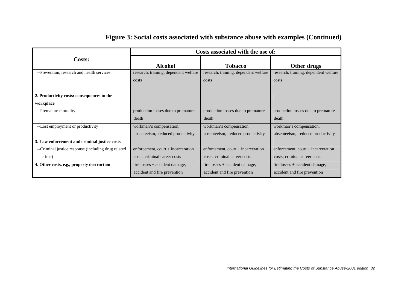|                                                     | Costs associated with the use of:     |                                       |                                       |  |
|-----------------------------------------------------|---------------------------------------|---------------------------------------|---------------------------------------|--|
| Costs:                                              | <b>Alcohol</b>                        | <b>Tobacco</b>                        | Other drugs                           |  |
| --Prevention, research and health services          | research, training, dependent welfare | research, training, dependent welfare | research, training, dependent welfare |  |
|                                                     | costs                                 | costs                                 | costs                                 |  |
|                                                     |                                       |                                       |                                       |  |
| 2. Productivity costs: consequences to the          |                                       |                                       |                                       |  |
| workplace                                           |                                       |                                       |                                       |  |
| --Premature mortality                               | production losses due to premature    | production losses due to premature    | production losses due to premature    |  |
|                                                     | death                                 | death                                 | death                                 |  |
| --Lost employment or productivity                   | workman's compensation,               | workman's compensation,               | workman's compensation,               |  |
|                                                     | absenteeism, reduced productivity     | absenteeism, reduced productivity     | absenteeism, reduced productivity     |  |
| 3. Law enforcement and criminal justice costs       |                                       |                                       |                                       |  |
| --Criminal justice response (including drug related | enforcement, court $+$ incarceration  | enforcement, court $+$ incarceration  | enforcement, court + incarceration    |  |
| crime)                                              | costs; criminal career costs          | costs; criminal career costs          | costs; criminal career costs          |  |
| 4. Other costs, e.g., property destruction          | fire losses $+$ accident damage,      | fire losses $+$ accident damage,      | fire losses $+$ accident damage,      |  |
|                                                     | accident and fire prevention          | accident and fire prevention          | accident and fire prevention          |  |

## **Figure 3: Social costs associated with substance abuse with examples (Continued)**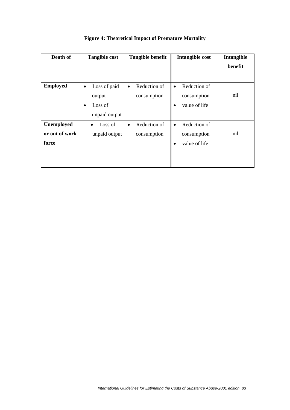| Death of                              | <b>Tangible cost</b>                                                         | <b>Tangible benefit</b>                  | Intangible cost                                                        | Intangible<br>benefit |
|---------------------------------------|------------------------------------------------------------------------------|------------------------------------------|------------------------------------------------------------------------|-----------------------|
| <b>Employed</b>                       | Loss of paid<br>$\bullet$<br>output<br>Loss of<br>$\bullet$<br>unpaid output | Reduction of<br>$\bullet$<br>consumption | Reduction of<br>$\bullet$<br>consumption<br>value of life<br>$\bullet$ | nil                   |
| Unemployed<br>or out of work<br>force | Loss of<br>unpaid output                                                     | Reduction of<br>$\bullet$<br>consumption | Reduction of<br>$\bullet$<br>consumption<br>value of life              | nil                   |

**Figure 4: Theoretical Impact of Premature Mortality**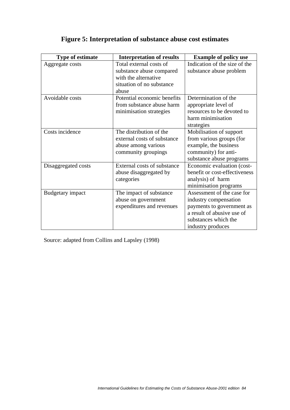| <b>Type of estimate</b> | <b>Interpretation of results</b>                                                                                  | <b>Example of policy use</b>                                                                                                                                |
|-------------------------|-------------------------------------------------------------------------------------------------------------------|-------------------------------------------------------------------------------------------------------------------------------------------------------------|
| Aggregate costs         | Total external costs of<br>substance abuse compared<br>with the alternative<br>situation of no substance<br>abuse | Indication of the size of the<br>substance abuse problem                                                                                                    |
| Avoidable costs         | Potential economic benefits<br>from substance abuse harm<br>minimisation strategies                               | Determination of the<br>appropriate level of<br>resources to be devoted to<br>harm minimisation<br>strategies                                               |
| Costs incidence         | The distribution of the<br>external costs of substance<br>abuse among various<br>community groupings              | Mobilisation of support<br>from various groups (for<br>example, the business<br>community) for anti-<br>substance abuse programs                            |
| Disaggregated costs     | External costs of substance<br>abuse disaggregated by<br>categories                                               | Economic evaluation (cost-<br>benefit or cost-effectiveness<br>analysis) of harm<br>minimisation programs                                                   |
| <b>Budgetary</b> impact | The impact of substance<br>abuse on government<br>expenditures and revenues                                       | Assessment of the case for<br>industry compensation<br>payments to government as<br>a result of abusive use of<br>substances which the<br>industry produces |

# **Figure 5: Interpretation of substance abuse cost estimates**

Source: adapted from Collins and Lapsley (1998)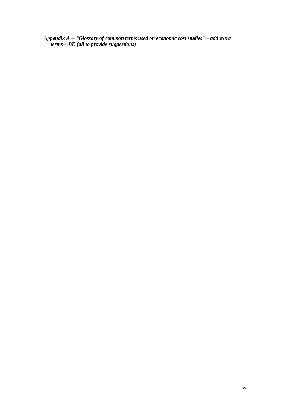*Appendix A -- "Glossary of common terms used on economic cost studies"—add extra terms—BE (all to provide suggestions)*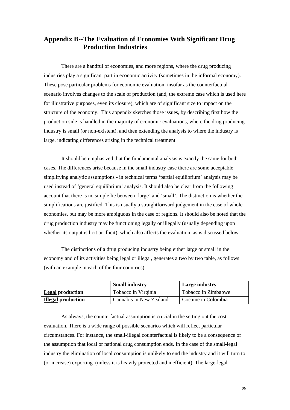### **Appendix B--The Evaluation of Economies With Significant Drug Production Industries**

 There are a handful of economies, and more regions, where the drug producing industries play a significant part in economic activity (sometimes in the informal economy). These pose particular problems for economic evaluation, insofar as the counterfactual scenario involves changes to the scale of production (and, the extreme case which is used here for illustrative purposes, even its closure), which are of significant size to impact on the structure of the economy. This appendix sketches those issues, by describing first how the production side is handled in the majority of economic evaluations, where the drug producing industry is small (or non-existent), and then extending the analysis to where the industry is large, indicating differences arising in the technical treatment.

 It should be emphasized that the fundamental analysis is exactly the same for both cases. The differences arise because in the small industry case there are some acceptable simplifying analytic assumptions - in technical terms 'partial equilibrium' analysis may be used instead of 'general equilibrium' analysis. It should also be clear from the following account that there is no simple lie between 'large' and 'small'. The distinction is whether the simplifications are justified. This is usually a straightforward judgement in the case of whole economies, but may be more ambiguous in the case of regions. It should also be noted that the drug production industry may be functioning legally or illegally (usually depending upon whether its output is licit or illicit), which also affects the evaluation, as is discussed below.

The distinctions of a drug producing industry being either large or small in the economy and of its activities being legal or illegal, generates a two by two table, as follows (with an example in each of the four countries).

|                           | <b>Small industry</b>   | <b>Large industry</b> |
|---------------------------|-------------------------|-----------------------|
| <b>Legal production</b>   | Tobacco in Virginia     | Tobacco in Zimbabwe   |
| <b>Illegal production</b> | Cannabis in New Zealand | Cocaine in Colombia   |

As always, the counterfactual assumption is crucial in the setting out the cost evaluation. There is a wide range of possible scenarios which will reflect particular circumstances. For instance, the small-illegal counterfactual is likely to be a consequence of the assumption that local or national drug consumption ends. In the case of the small-legal industry the elimination of local consumption is unlikely to end the industry and it will turn to (or increase) exporting (unless it is heavily protected and inefficient). The large-legal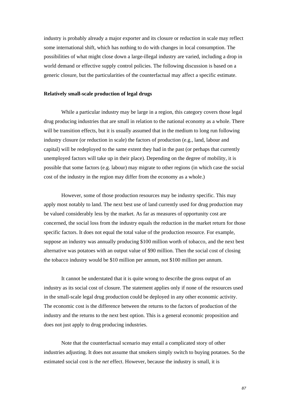industry is probably already a major exporter and its closure or reduction in scale may reflect some international shift, which has nothing to do with changes in local consumption. The possibilities of what might close down a large-illegal industry are varied, including a drop in world demand or effective supply control policies. The following discussion is based on a generic closure, but the particularities of the counterfactual may affect a specific estimate.

### **Relatively small-scale production of legal drugs**

While a particular industry may be large in a region, this category covers those legal drug producing industries that are small in relation to the national economy as a whole. There will be transition effects, but it is usually assumed that in the medium to long run following industry closure (or reduction in scale) the factors of production (e.g., land, labour and capital) will be redeployed to the same extent they had in the past (or perhaps that currently unemployed factors will take up in their place). Depending on the degree of mobility, it is possible that some factors (e.g. labour) may migrate to other regions (in which case the social cost of the industry in the region may differ from the economy as a whole.)

However, some of those production resources may be industry specific. This may apply most notably to land. The next best use of land currently used for drug production may be valued considerably less by the market. As far as measures of opportunity cost are concerned, the social loss from the industry equals the reduction in the market return for those specific factors. It does not equal the total value of the production resource. For example, suppose an industry was annually producing \$100 million worth of tobacco, and the next best alternative was potatoes with an output value of \$90 million. Then the social cost of closing the tobacco industry would be \$10 million per annum, not \$100 million per annum.

It cannot be understated that it is quite wrong to describe the gross output of an industry as its social cost of closure. The statement applies only if none of the resources used in the small-scale legal drug production could be deployed in any other economic activity. The economic cost is the difference between the returns to the factors of production of the industry and the returns to the next best option. This is a general economic proposition and does not just apply to drug producing industries.

Note that the counterfactual scenario may entail a complicated story of other industries adjusting. It does not assume that smokers simply switch to buying potatoes. So the estimated social cost is the *net* effect. However, because the industry is small, it is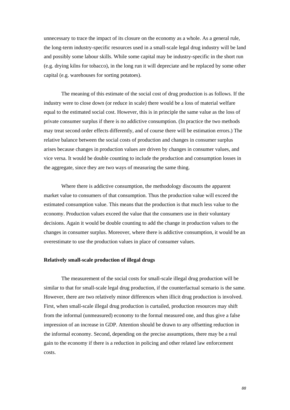unnecessary to trace the impact of its closure on the economy as a whole. As a general rule, the long-term industry-specific resources used in a small-scale legal drug industry will be land and possibly some labour skills. While some capital may be industry-specific in the short run (e.g. drying kilns for tobacco), in the long run it will depreciate and be replaced by some other capital (e.g. warehouses for sorting potatoes).

The meaning of this estimate of the social cost of drug production is as follows. If the industry were to close down (or reduce in scale) there would be a loss of material welfare equal to the estimated social cost. However, this is in principle the same value as the loss of private consumer surplus if there is no addictive consumption. (In practice the two methods may treat second order effects differently, and of course there will be estimation errors.) The relative balance between the social costs of production and changes in consumer surplus arises because changes in production values are driven by changes in consumer values, and vice versa. It would be double counting to include the production and consumption losses in the aggregate, since they are two ways of measuring the same thing.

Where there is addictive consumption, the methodology discounts the apparent market value to consumers of that consumption. Thus the production value will exceed the estimated consumption value. This means that the production is that much less value to the economy. Production values exceed the value that the consumers use in their voluntary decisions. Again it would be double counting to add the change in production values to the changes in consumer surplus. Moreover, where there is addictive consumption, it would be an overestimate to use the production values in place of consumer values.

### **Relatively small-scale production of illegal drugs**

The measurement of the social costs for small-scale illegal drug production will be similar to that for small-scale legal drug production, if the counterfactual scenario is the same. However, there are two relatively minor differences when illicit drug production is involved. First, when small-scale illegal drug production is curtailed, production resources may shift from the informal (unmeasured) economy to the formal measured one, and thus give a false impression of an increase in GDP. Attention should be drawn to any offsetting reduction in the informal economy. Second, depending on the precise assumptions, there may be a real gain to the economy if there is a reduction in policing and other related law enforcement costs.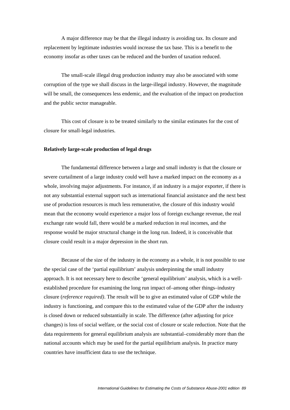A major difference may be that the illegal industry is avoiding tax. Its closure and replacement by legitimate industries would increase the tax base. This is a benefit to the economy insofar as other taxes can be reduced and the burden of taxation reduced.

The small-scale illegal drug production industry may also be associated with some corruption of the type we shall discuss in the large-illegal industry. However, the magnitude will be small, the consequences less endemic, and the evaluation of the impact on production and the public sector manageable.

This cost of closure is to be treated similarly to the similar estimates for the cost of closure for small-legal industries.

### **Relatively large-scale production of legal drugs**

The fundamental difference between a large and small industry is that the closure or severe curtailment of a large industry could well have a marked impact on the economy as a whole, involving major adjustments. For instance, if an industry is a major exporter, if there is not any substantial external support such as international financial assistance and the next best use of production resources is much less remunerative, the closure of this industry would mean that the economy would experience a major loss of foreign exchange revenue, the real exchange rate would fall, there would be a marked reduction in real incomes, and the response would be major structural change in the long run. Indeed, it is conceivable that closure could result in a major depression in the short run.

Because of the size of the industry in the economy as a whole, it is not possible to use the special case of the 'partial equilibrium' analysis underpinning the small industry approach. It is not necessary here to describe 'general equilibrium' analysis, which is a wellestablished procedure for examining the long run impact of–among other things–industry closure (*reference required)*. The result will be to give an estimated value of GDP while the industry is functioning, and compare this to the estimated value of the GDP after the industry is closed down or reduced substantially in scale. The difference (after adjusting for price changes) is loss of social welfare, or the social cost of closure or scale reduction. Note that the data requirements for general equilibrium analysis are substantial–considerably more than the national accounts which may be used for the partial equilibrium analysis. In practice many countries have insufficient data to use the technique.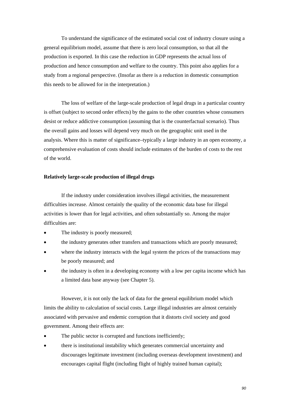To understand the significance of the estimated social cost of industry closure using a general equilibrium model, assume that there is zero local consumption, so that all the production is exported. In this case the reduction in GDP represents the actual loss of production and hence consumption and welfare to the country. This point also applies for a study from a regional perspective. (Insofar as there is a reduction in domestic consumption this needs to be allowed for in the interpretation.)

The loss of welfare of the large-scale production of legal drugs in a particular country is offset (subject to second order effects) by the gains to the other countries whose consumers desist or reduce addictive consumption (assuming that is the counterfactual scenario). Thus the overall gains and losses will depend very much on the geographic unit used in the analysis. Where this is matter of significance–typically a large industry in an open economy, a comprehensive evaluation of costs should include estimates of the burden of costs to the rest of the world.

#### **Relatively large-scale production of illegal drugs**

If the industry under consideration involves illegal activities, the measurement difficulties increase. Almost certainly the quality of the economic data base for illegal activities is lower than for legal activities, and often substantially so. Among the major difficulties are:

- The industry is poorly measured;
- the industry generates other transfers and transactions which are poorly measured;
- where the industry interacts with the legal system the prices of the transactions may be poorly measured; and
- the industry is often in a developing economy with a low per capita income which has a limited data base anyway (see Chapter 5).

However, it is not only the lack of data for the general equilibrium model which limits the ability to calculation of social costs. Large illegal industries are almost certainly associated with pervasive and endemic corruption that it distorts civil society and good government. Among their effects are:

- The public sector is corrupted and functions inefficiently;
- there is institutional instability which generates commercial uncertainty and discourages legitimate investment (including overseas development investment) and encourages capital flight (including flight of highly trained human capital);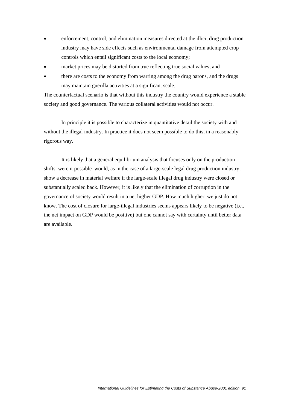- enforcement, control, and elimination measures directed at the illicit drug production industry may have side effects such as environmental damage from attempted crop controls which entail significant costs to the local economy;
- market prices may be distorted from true reflecting true social values; and
- there are costs to the economy from warring among the drug barons, and the drugs may maintain guerilla activities at a significant scale.

The counterfactual scenario is that without this industry the country would experience a stable society and good governance. The various collateral activities would not occur.

In principle it is possible to characterize in quantitative detail the society with and without the illegal industry. In practice it does not seem possible to do this, in a reasonably rigorous way.

It is likely that a general equilibrium analysis that focuses only on the production shifts–were it possible–would, as in the case of a large-scale legal drug production industry, show a decrease in material welfare if the large-scale illegal drug industry were closed or substantially scaled back. However, it is likely that the elimination of corruption in the governance of society would result in a net higher GDP. How much higher, we just do not know. The cost of closure for large-illegal industries seems appears likely to be negative (i.e., the net impact on GDP would be positive) but one cannot say with certainty until better data are available.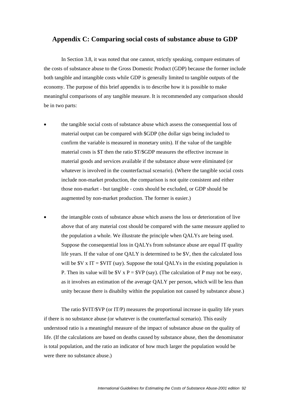### **Appendix C: Comparing social costs of substance abuse to GDP**

In Section 3.8, it was noted that one cannot, strictly speaking, compare estimates of the costs of substance abuse to the Gross Domestic Product (GDP) because the former include both tangible and intangible costs while GDP is generally limited to tangible outputs of the economy. The purpose of this brief appendix is to describe how it is possible to make meaningful comparisons of any tangible measure. It is recommended any comparison should be in two parts:

- the tangible social costs of substance abuse which assess the consequential loss of material output can be compared with \$GDP (the dollar sign being included to confirm the variable is measured in monetary units). If the value of the tangible material costs is \$T then the ratio \$T/\$GDP measures the effective increase in material goods and services available if the substance abuse were eliminated (or whatever is involved in the counterfactual scenario). (Where the tangible social costs include non-market production, the comparison is not quite consistent and either those non-market - but tangible - costs should be excluded, or GDP should be augmented by non-market production. The former is easier.)
- the intangible costs of substance abuse which assess the loss or deterioration of live above that of any material cost should be compared with the same measure applied to the population a whole. We illustrate the principle when QALYs are being used. Suppose the consequential loss in QALYs from substance abuse are equal IT quality life years. If the value of one QALY is determined to be \$V, then the calculated loss will be  $V \times IT = SVIT$  (say). Suppose the total QALYs in the existing population is P. Then its value will be  $V \times P = V \times V$  (say). (The calculation of P may not be easy, as it involves an estimation of the average QALY per person, which will be less than unity because there is disabilty within the population not caused by substance abuse.)

 The ratio \$VIT/\$VP (or IT/P) measures the proportional increase in quality life years if there is no substance abuse (or whatever is the counterfactual scenario). This easily understood ratio is a meaningful measure of the impact of substance abuse on the quality of life. (If the calculations are based on deaths caused by substance abuse, then the denominator is total population, and the ratio an indicator of how much larger the population would be were there no substance abuse.)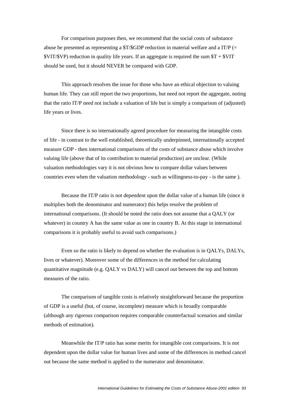For comparison purposes then, we recommend that the social costs of substance abuse be presented as representing a  $T\$ SGDP reduction in material welfare and a IT/P (=  $VIT/SVP$ ) reduction in quality life years. If an aggregate is required the sum  $T + SVIT$ should be used, but it should NEVER be compared with GDP.

This approach resolves the issue for those who have an ethical objection to valuing human life. They can still report the two proportions, but need not report the aggregate, noting that the ratio IT/P need not include a valuation of life but is simply a comparison of (adjusted) life years or lives.

Since there is no internationally agreed procedure for measuring the intangible costs of life - in contrast to the well established, theoretically underpinned, internationally accepted measure GDP - then international comparisons of the costs of substance abuse which involve valuing life (above that of its contribution to material production) are unclear. (While valuation methodologies vary it is not obvious how to compare dollar values between countries even when the valuation methodology - such as willingness-to-pay - is the same ).

Because the IT/P ratio is not dependent upon the dollar value of a human life (since it multiplies both the denominator and numerator) this helps resolve the problem of international comparisons. (It should be noted the ratio does not assume that a QALY (or whatever) in country A has the same value as one in country B. At this stage in international comparisons it is probably useful to avoid such comparisons.)

Even so the ratio is likely to depend on whether the evaluation is in QALYs, DALYs, lives or whatever). Moreover some of the differences in the method for calculating quantitative magnitude (e.g.  $OALY$  vs  $DALY$ ) will cancel out between the top and bottom measures of the ratio.

The comparison of tangible costs is relatively straightforward because the proportion of GDP is a useful (but, of course, incomplete) measure which is broadly comparable (although any rigorous comparison requires comparable counterfactual scenarios and similar methods of estimation).

Meanwhile the IT/P ratio has some merits for intangible cost comparisons. It is not dependent upon the dollar value for human lives and some of the differences in method cancel out because the same method is applied to the numerator and denominator.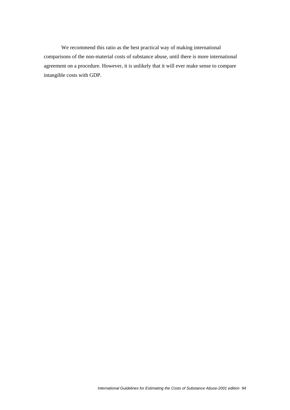We recommend this ratio as the best practical way of making international comparisons of the non-material costs of substance abuse, until there is more international agreement on a procedure. However, it is unlikely that it will ever make sense to compare intangible costs with GDP.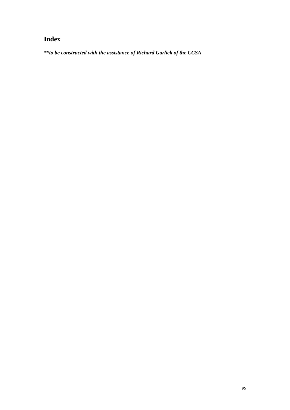## **Index**

*\*\*to be constructed with the assistance of Richard Garlick of the CCSA*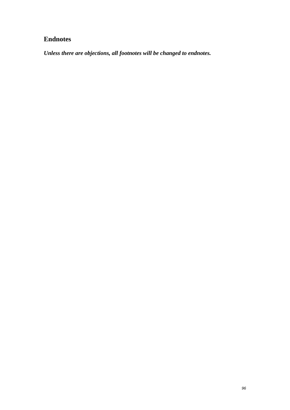## **Endnotes**

*Unless there are objections, all footnotes will be changed to endnotes.*